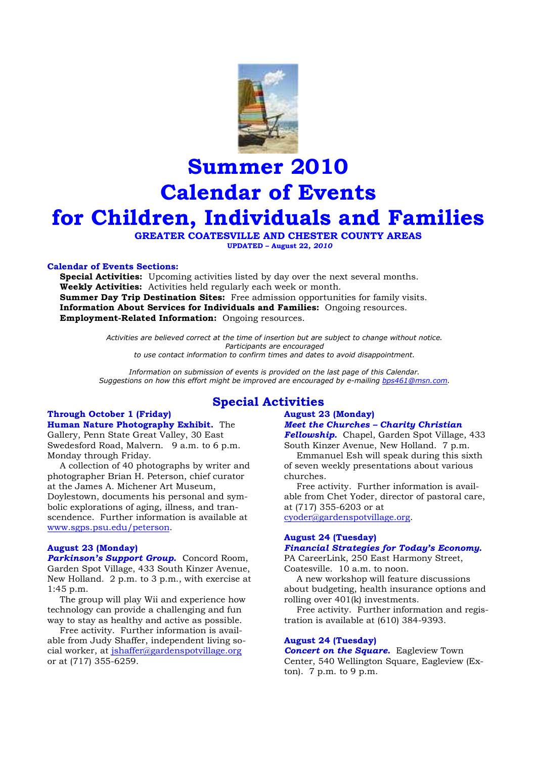

# **Summer 2010 Calendar of Events for Children, Individuals and Families**

 **GREATER COATESVILLE AND CHESTER COUNTY AREAS UPDATED – August 22***, 2010*

# **Calendar of Events Sections:**

**Special Activities:** Upcoming activities listed by day over the next several months. **Weekly Activities:** Activities held regularly each week or month. **Summer Day Trip Destination Sites:** Free admission opportunities for family visits. **Information About Services for Individuals and Families:** Ongoing resources. **Employment-Related Information:** Ongoing resources.

> *Activities are believed correct at the time of insertion but are subject to change without notice. Participants are encouraged to use contact information to confirm times and dates to avoid disappointment.*

*Information on submission of events is provided on the last page of this Calendar. Suggestions on how this effort might be improved are encouraged by e-mailing bps461@msn.com.* 

# **Through October 1 (Friday) Human Nature Photography Exhibit.** The

Gallery, Penn State Great Valley, 30 East Swedesford Road, Malvern. 9 a.m. to 6 p.m. Monday through Friday.

 A collection of 40 photographs by writer and photographer Brian H. Peterson, chief curator at the James A. Michener Art Museum, Doylestown, documents his personal and symbolic explorations of aging, illness, and transcendence. Further information is available at www.sgps.psu.edu/peterson.

#### **August 23 (Monday)**

*Parkinson's Support Group.* Concord Room, Garden Spot Village, 433 South Kinzer Avenue, New Holland. 2 p.m. to 3 p.m., with exercise at 1:45 p.m.

 The group will play Wii and experience how technology can provide a challenging and fun way to stay as healthy and active as possible.

 Free activity. Further information is available from Judy Shaffer, independent living social worker, at jshaffer@gardenspotvillage.org or at (717) 355-6259.

# **Special Activities**

# **August 23 (Monday)**

# *Meet the Churches – Charity Christian*

*Fellowship.* Chapel, Garden Spot Village, 433 South Kinzer Avenue, New Holland. 7 p.m.

 Emmanuel Esh will speak during this sixth of seven weekly presentations about various churches.

 Free activity. Further information is available from Chet Yoder, director of pastoral care, at (717) 355-6203 or at cyoder@gardenspotvillage.org.

#### **August 24 (Tuesday)**  *Financial Strategies for Today's Economy.*

PA CareerLink, 250 East Harmony Street, Coatesville. 10 a.m. to noon.

 A new workshop will feature discussions about budgeting, health insurance options and rolling over 401(k) investments.

 Free activity. Further information and registration is available at (610) 384-9393.

#### **August 24 (Tuesday)**

*Concert on the Square.* Eagleview Town Center, 540 Wellington Square, Eagleview (Exton). 7 p.m. to 9 p.m.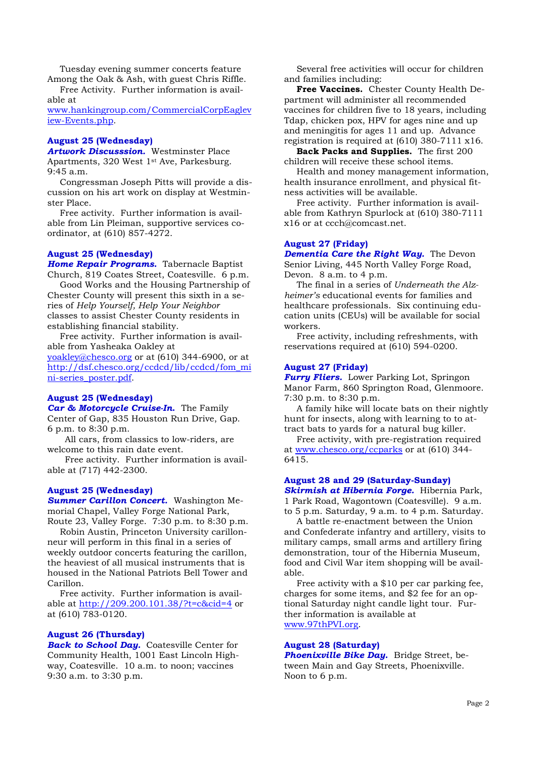Tuesday evening summer concerts feature Among the Oak & Ash, with guest Chris Riffle.

 Free Activity. Further information is available at

www.hankingroup.com/CommercialCorpEaglev iew-Events.php.

# **August 25 (Wednesday)**

*Artwork Discusssion.* Westminster Place Apartments, 320 West 1st Ave, Parkesburg. 9:45 a.m.

 Congressman Joseph Pitts will provide a discussion on his art work on display at Westminster Place.

 Free activity. Further information is available from Lin Pleiman, supportive services coordinator, at (610) 857-4272.

# **August 25 (Wednesday)**

*Home Repair Programs.* Tabernacle Baptist Church, 819 Coates Street, Coatesville. 6 p.m.

 Good Works and the Housing Partnership of Chester County will present this sixth in a series of *Help Yourself, Help Your Neighbor* classes to assist Chester County residents in establishing financial stability.

 Free activity. Further information is available from Yasheaka Oakley at

yoakley@chesco.org or at (610) 344-6900, or at http://dsf.chesco.org/ccdcd/lib/ccdcd/fom\_mi ni-series\_poster.pdf.

### **August 25 (Wednesday)**

*Car & Motorcycle Cruise-In***.** The Family Center of Gap, 835 Houston Run Drive, Gap. 6 p.m. to 8:30 p.m.

 All cars, from classics to low-riders, are welcome to this rain date event.

 Free activity. Further information is available at (717) 442-2300.

# **August 25 (Wednesday)**

*Summer Carillon Concert.* Washington Memorial Chapel, Valley Forge National Park, Route 23, Valley Forge. 7:30 p.m. to 8:30 p.m.

 Robin Austin, Princeton University carillonneur will perform in this final in a series of weekly outdoor concerts featuring the carillon, the heaviest of all musical instruments that is housed in the National Patriots Bell Tower and Carillon.

 Free activity. Further information is available at http://209.200.101.38/?t=c&cid=4 or at (610) 783-0120.

#### **August 26 (Thursday)**

*Back to School Day.* Coatesville Center for Community Health, 1001 East Lincoln Highway, Coatesville. 10 a.m. to noon; vaccines 9:30 a.m. to 3:30 p.m.

 Several free activities will occur for children and families including:

 **Free Vaccines.** Chester County Health Department will administer all recommended vaccines for children five to 18 years, including Tdap, chicken pox, HPV for ages nine and up and meningitis for ages 11 and up. Advance registration is required at (610) 380-7111 x16.

**Back Packs and Supplies.** The first 200 children will receive these school items.

 Health and money management information, health insurance enrollment, and physical fitness activities will be available.

 Free activity. Further information is available from Kathryn Spurlock at (610) 380-7111 x16 or at ccch@comcast.net.

### **August 27 (Friday)**

*Dementia Care the Right Way.* The Devon Senior Living, 445 North Valley Forge Road, Devon. 8 a.m. to 4 p.m.

 The final in a series of *Underneath the Alzheimer's* educational events for families and healthcare professionals. Six continuing education units (CEUs) will be available for social workers.

 Free activity, including refreshments, with reservations required at (610) 594-0200.

# **August 27 (Friday)**

*Furry Fliers.* Lower Parking Lot, Springon Manor Farm, 860 Springton Road, Glenmoore. 7:30 p.m. to 8:30 p.m.

 A family hike will locate bats on their nightly hunt for insects, along with learning to to attract bats to yards for a natural bug killer.

 Free activity, with pre-registration required at www.chesco.org/ccparks or at (610) 344- 6415.

# **August 28 and 29 (Saturday-Sunday)**

*Skirmish at Hibernia Forge.* Hibernia Park, 1 Park Road, Wagontown (Coatesville). 9 a.m. to 5 p.m. Saturday, 9 a.m. to 4 p.m. Saturday.

 A battle re-enactment between the Union and Confederate infantry and artillery, visits to military camps, small arms and artillery firing demonstration, tour of the Hibernia Museum, food and Civil War item shopping will be available.

Free activity with a \$10 per car parking fee, charges for some items, and \$2 fee for an optional Saturday night candle light tour. Further information is available at www.97thPVI.org.

# **August 28 (Saturday)**

*Phoenixville Bike Day.* Bridge Street, between Main and Gay Streets, Phoenixville. Noon to 6 p.m.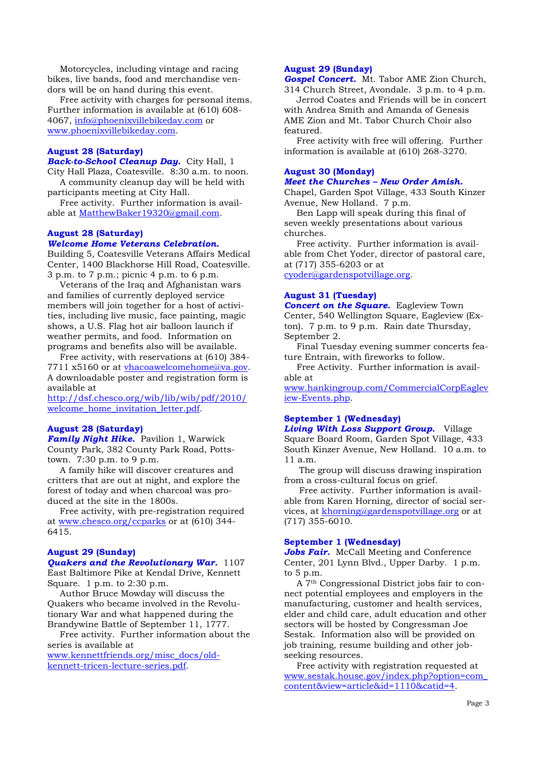Motorcycles, including vintage and racing bikes, live bands, food and merchandise vendors will be on hand during this event.

 Free activity with charges for personal items. Further information is available at (610) 608- 4067, info@phoenixvillebikeday.com or www.phoenixvillebikeday.com.

#### **August 28 (Saturday)**

*Back-to-School Cleanup Day.* City Hall, 1

City Hall Plaza, Coatesville. 8:30 a.m. to noon. A community cleanup day will be held with participants meeting at City Hall.

 Free activity. Further information is available at MatthewBaker19320@gmail.com.

#### **August 28 (Saturday)**

#### *Welcome Home Veterans Celebration.*

Building 5, Coatesville Veterans Affairs Medical Center, 1400 Blackhorse Hill Road, Coatesville. 3 p.m. to 7 p.m.; picnic 4 p.m. to 6 p.m.

 Veterans of the Iraq and Afghanistan wars and families of currently deployed service members will join together for a host of activities, including live music, face painting, magic shows, a U.S. Flag hot air balloon launch if weather permits, and food. Information on programs and benefits also will be available.

 Free activity, with reservations at (610) 384- 7711 x5160 or at vhacoawelcomehome@va.gov. A downloadable poster and registration form is available at

http://dsf.chesco.org/wib/lib/wib/pdf/2010/ welcome\_home\_invitation\_letter.pdf.

# **August 28 (Saturday)**

*Family Night Hike.* Pavilion 1, Warwick County Park, 382 County Park Road, Pottstown. 7:30 p.m. to 9 p.m.

 A family hike will discover creatures and critters that are out at night, and explore the forest of today and when charcoal was produced at the site in the 1800s.

 Free activity, with pre-registration required at www.chesco.org/ccparks or at (610) 344- 6415.

# **August 29 (Sunday)**

# *Quakers and the Revolutionary War.* 1107

East Baltimore Pike at Kendal Drive, Kennett Square. 1 p.m. to 2:30 p.m.

 Author Bruce Mowday will discuss the Quakers who became involved in the Revolutionary War and what happened during the Brandywine Battle of September 11, 1777.

 Free activity. Further information about the series is available at

www.kennettfriends.org/misc\_docs/oldkennett-tricen-lecture-series.pdf.

# **August 29 (Sunday)**

*Gospel Concert.* Mt. Tabor AME Zion Church, 314 Church Street, Avondale. 3 p.m. to 4 p.m.

 Jerrod Coates and Friends will be in concert with Andrea Smith and Amanda of Genesis AME Zion and Mt. Tabor Church Choir also featured.

 Free activity with free will offering. Further information is available at (610) 268-3270.

#### **August 30 (Monday)**  *Meet the Churches – New Order Amish.*

Chapel, Garden Spot Village, 433 South Kinzer Avenue, New Holland. 7 p.m.

 Ben Lapp will speak during this final of seven weekly presentations about various churches.

 Free activity. Further information is available from Chet Yoder, director of pastoral care, at (717) 355-6203 or at cyoder@gardenspotvillage.org.

#### **August 31 (Tuesday)**

*Concert on the Square.* Eagleview Town Center, 540 Wellington Square, Eagleview (Exton). 7 p.m. to 9 p.m. Rain date Thursday, September 2.

 Final Tuesday evening summer concerts feature Entrain, with fireworks to follow.

 Free Activity. Further information is available at

www.hankingroup.com/CommercialCorpEaglev iew-Events.php.

#### **September 1 (Wednesday)**

*Living With Loss Support Group.* Village Square Board Room, Garden Spot Village, 433 South Kinzer Avenue, New Holland. 10 a.m. to 11 a.m.

 The group will discuss drawing inspiration from a cross-cultural focus on grief.

 Free activity. Further information is available from Karen Horning, director of social services, at khorning@gardenspotvillage.org or at (717) 355-6010.

#### **September 1 (Wednesday)**

*Jobs Fair.* McCall Meeting and Conference Center, 201 Lynn Blvd., Upper Darby. 1 p.m. to 5 p.m.

 A 7th Congressional District jobs fair to connect potential employees and employers in the manufacturing, customer and health services, elder and child care, adult education and other sectors will be hosted by Congressman Joe Sestak. Information also will be provided on job training, resume building and other jobseeking resources.

 Free activity with registration requested at www.sestak.house.gov/index.php?option=com\_ content&view=article&id=1110&catid=4.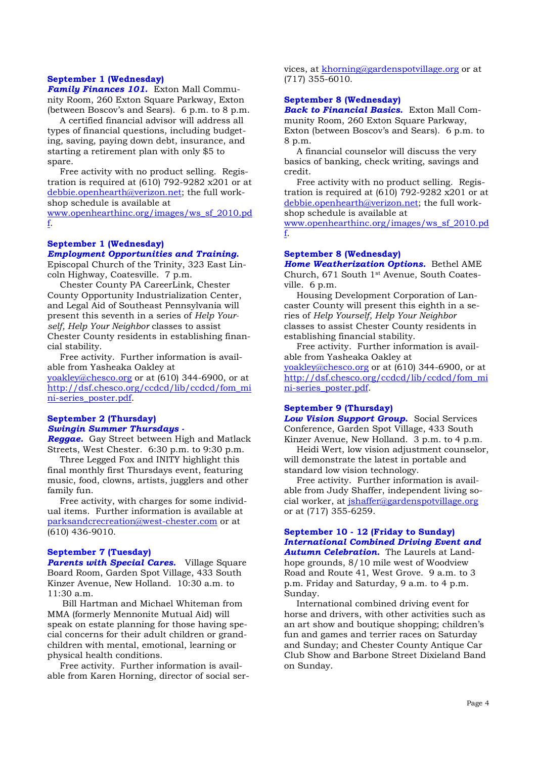# **September 1 (Wednesday)**

*Family Finances 101.* Exton Mall Community Room, 260 Exton Square Parkway, Exton (between Boscov's and Sears). 6 p.m. to 8 p.m.

 A certified financial advisor will address all types of financial questions, including budgeting, saving, paying down debt, insurance, and starting a retirement plan with only \$5 to spare.

 Free activity with no product selling. Registration is required at (610) 792-9282 x201 or at debbie.openhearth@verizon.net; the full workshop schedule is available at

www.openhearthinc.org/images/ws\_sf\_2010.pd f.

# **September 1 (Wednesday)**

#### *Employment Opportunities and Training.*

Episcopal Church of the Trinity, 323 East Lincoln Highway, Coatesville. 7 p.m.

 Chester County PA CareerLink, Chester County Opportunity Industrialization Center, and Legal Aid of Southeast Pennsylvania will present this seventh in a series of *Help Yourself, Help Your Neighbor* classes to assist Chester County residents in establishing financial stability.

 Free activity. Further information is available from Yasheaka Oakley at yoakley@chesco.org or at (610) 344-6900, or at http://dsf.chesco.org/ccdcd/lib/ccdcd/fom\_mi ni-series\_poster.pdf.

# **September 2 (Thursday)**  *Swingin Summer Thursdays -*

*Reggae.* Gay Street between High and Matlack Streets, West Chester. 6:30 p.m. to 9:30 p.m.

 Three Legged Fox and INITY highlight this final monthly first Thursdays event, featuring music, food, clowns, artists, jugglers and other family fun.

 Free activity, with charges for some individual items. Further information is available at parksandcrecreation@west-chester.com or at (610) 436-9010.

#### **September 7 (Tuesday)**

*Parents with Special Cares.* Village Square Board Room, Garden Spot Village, 433 South Kinzer Avenue, New Holland. 10:30 a.m. to 11:30 a.m.

 Bill Hartman and Michael Whiteman from MMA (formerly Mennonite Mutual Aid) will speak on estate planning for those having special concerns for their adult children or grandchildren with mental, emotional, learning or physical health conditions.

 Free activity. Further information is available from Karen Horning, director of social services, at khorning@gardenspotvillage.org or at (717) 355-6010.

#### **September 8 (Wednesday)**

*Back to Financial Basics.* Exton Mall Community Room, 260 Exton Square Parkway, Exton (between Boscov's and Sears). 6 p.m. to 8 p.m.

 A financial counselor will discuss the very basics of banking, check writing, savings and credit.

 Free activity with no product selling. Registration is required at  $(610)$  792-9282 x201 or at debbie.openhearth@verizon.net; the full workshop schedule is available at

www.openhearthinc.org/images/ws\_sf\_2010.pd f.

#### **September 8 (Wednesday)**

*Home Weatherization Options.* Bethel AME Church, 671 South 1st Avenue, South Coatesville. 6 p.m.

 Housing Development Corporation of Lancaster County will present this eighth in a series of *Help Yourself, Help Your Neighbor* classes to assist Chester County residents in establishing financial stability.

 Free activity. Further information is available from Yasheaka Oakley at yoakley@chesco.org or at (610) 344-6900, or at http://dsf.chesco.org/ccdcd/lib/ccdcd/fom\_mi ni-series\_poster.pdf.

# **September 9 (Thursday)**

*Low Vision Support Group.* Social Services Conference, Garden Spot Village, 433 South Kinzer Avenue, New Holland. 3 p.m. to 4 p.m.

 Heidi Wert, low vision adjustment counselor, will demonstrate the latest in portable and standard low vision technology.

 Free activity. Further information is available from Judy Shaffer, independent living social worker, at jshaffer@gardenspotvillage.org or at (717) 355-6259.

# **September 10 - 12 (Friday to Sunday)**  *International Combined Driving Event and*

*Autumn Celebration.* The Laurels at Landhope grounds, 8/10 mile west of Woodview Road and Route 41, West Grove. 9 a.m. to 3 p.m. Friday and Saturday, 9 a.m. to 4 p.m. Sunday.

 International combined driving event for horse and drivers, with other activities such as an art show and boutique shopping; children's fun and games and terrier races on Saturday and Sunday; and Chester County Antique Car Club Show and Barbone Street Dixieland Band on Sunday.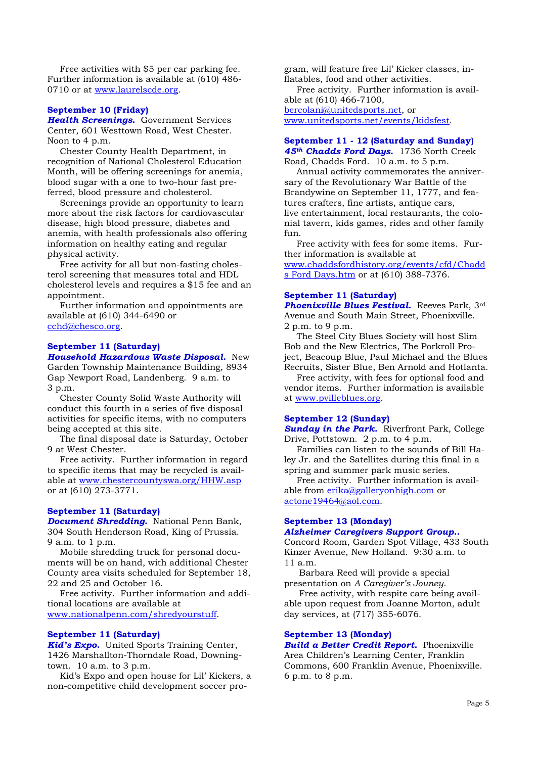Free activities with \$5 per car parking fee. Further information is available at (610) 486- 0710 or at www.laurelscde.org.

#### **September 10 (Friday)**

*Health Screenings.* Government Services Center, 601 Westtown Road, West Chester. Noon to 4 p.m.

 Chester County Health Department, in recognition of National Cholesterol Education Month, will be offering screenings for anemia, blood sugar with a one to two-hour fast preferred, blood pressure and cholesterol.

 Screenings provide an opportunity to learn more about the risk factors for cardiovascular disease, high blood pressure, diabetes and anemia, with health professionals also offering information on healthy eating and regular physical activity.

 Free activity for all but non-fasting cholesterol screening that measures total and HDL cholesterol levels and requires a \$15 fee and an appointment

 Further information and appointments are available at (610) 344-6490 or cchd@chesco.org.

#### **September 11 (Saturday)**

*Household Hazardous Waste Disposal.* New Garden Township Maintenance Building, 8934 Gap Newport Road, Landenberg. 9 a.m. to 3 p.m.

 Chester County Solid Waste Authority will conduct this fourth in a series of five disposal activities for specific items, with no computers being accepted at this site.

 The final disposal date is Saturday, October 9 at West Chester.

 Free activity. Further information in regard to specific items that may be recycled is available at www.chestercountyswa.org/HHW.asp or at (610) 273-3771.

#### **September 11 (Saturday)**

*Document Shredding.* National Penn Bank, 304 South Henderson Road, King of Prussia. 9 a.m. to 1 p.m.

 Mobile shredding truck for personal documents will be on hand, with additional Chester County area visits scheduled for September 18, 22 and 25 and October 16.

 Free activity. Further information and additional locations are available at www.nationalpenn.com/shredyourstuff.

#### **September 11 (Saturday)**

*Kid's Expo.* United Sports Training Center, 1426 Marshallton-Thorndale Road, Downingtown. 10 a.m. to 3 p.m.

 Kid's Expo and open house for Lil' Kickers, a non-competitive child development soccer program, will feature free Lil' Kicker classes, inflatables, food and other activities.

 Free activity. Further information is available at (610) 466-7100,

bercolani@unitedsports.net, or www.unitedsports.net/events/kidsfest.

# **September 11 - 12 (Saturday and Sunday)**  *45th Chadds Ford Days.* 1736 North Creek

Road, Chadds Ford. 10 a.m. to 5 p.m. Annual activity commemorates the anniversary of the Revolutionary War Battle of the Brandywine on September 11, 1777, and features crafters, fine artists, antique cars, live entertainment, local restaurants, the colonial tavern, kids games, rides and other family  $finn$ 

 Free activity with fees for some items. Further information is available at www.chaddsfordhistory.org/events/cfd/Chadd s Ford Days.htm or at (610) 388-7376.

#### **September 11 (Saturday)**

*Phoenixville Blues Festival.* Reeves Park, 3rd Avenue and South Main Street, Phoenixville. 2 p.m. to 9 p.m.

 The Steel City Blues Society will host Slim Bob and the New Electrics, The Porkroll Project, Beacoup Blue, Paul Michael and the Blues Recruits, Sister Blue, Ben Arnold and Hotlanta.

 Free activity, with fees for optional food and vendor items. Further information is available at www.pvilleblues.org.

#### **September 12 (Sunday)**

*Sunday in the Park.* Riverfront Park, College Drive, Pottstown. 2 p.m. to 4 p.m.

 Families can listen to the sounds of Bill Haley Jr. and the Satellites during this final in a spring and summer park music series.

 Free activity. Further information is available from erika@galleryonhigh.com or actone19464@aol.com.

# **September 13 (Monday)**

### *Alzheimer Caregivers Support Group..*

Concord Room, Garden Spot Village, 433 South Kinzer Avenue, New Holland. 9:30 a.m. to 11 a.m.

 Barbara Reed will provide a special presentation on *A Caregiver's Jouney*.

 Free activity, with respite care being available upon request from Joanne Morton, adult day services, at (717) 355-6076.

#### **September 13 (Monday)**

*Build a Better Credit Report.* Phoenixville Area Children's Learning Center, Franklin Commons, 600 Franklin Avenue, Phoenixville. 6 p.m. to 8 p.m.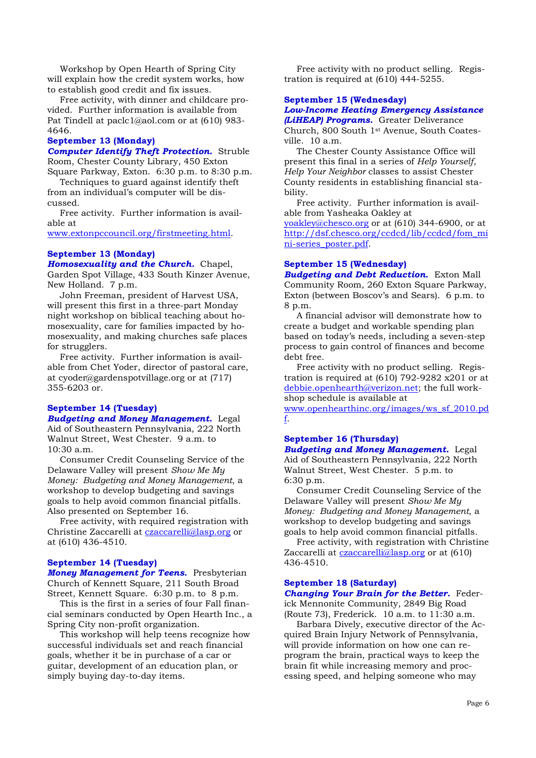Workshop by Open Hearth of Spring City will explain how the credit system works, how to establish good credit and fix issues.

 Free activity, with dinner and childcare provided. Further information is available from Pat Tindell at paclc1@aol.com or at (610) 983- 4646.

#### **September 13 (Monday)**

*Computer Identify Theft Protection.* Struble Room, Chester County Library, 450 Exton Square Parkway, Exton. 6:30 p.m. to 8:30 p.m.

 Techniques to guard against identify theft from an individual's computer will be discussed.

 Free activity. Further information is available at

www.extonpccouncil.org/firstmeeting.html.

# **September 13 (Monday)**

*Homosexuality and the Church.* Chapel, Garden Spot Village, 433 South Kinzer Avenue, New Holland. 7 p.m.

 John Freeman, president of Harvest USA, will present this first in a three-part Monday night workshop on biblical teaching about homosexuality, care for families impacted by homosexuality, and making churches safe places for strugglers.

 Free activity. Further information is available from Chet Yoder, director of pastoral care, at cyoder@gardenspotvillage.org or at (717) 355-6203 or.

#### **September 14 (Tuesday)**

*Budgeting and Money Management.* Legal Aid of Southeastern Pennsylvania, 222 North Walnut Street, West Chester. 9 a.m. to 10:30 a.m.

 Consumer Credit Counseling Service of the Delaware Valley will present *Show Me My Money: Budgeting and Money Management*, a workshop to develop budgeting and savings goals to help avoid common financial pitfalls. Also presented on September 16.

 Free activity, with required registration with Christine Zaccarelli at czaccarelli@lasp.org or at (610) 436-4510.

#### **September 14 (Tuesday)**

*Money Management for Teens.* Presbyterian Church of Kennett Square, 211 South Broad Street, Kennett Square. 6:30 p.m. to 8 p.m.

 This is the first in a series of four Fall financial seminars conducted by Open Hearth Inc., a Spring City non-profit organization.

 This workshop will help teens recognize how successful individuals set and reach financial goals, whether it be in purchase of a car or guitar, development of an education plan, or simply buying day-to-day items.

 Free activity with no product selling. Registration is required at (610) 444-5255.

# **September 15 (Wednesday)**

# *Low-Income Heating Emergency Assistance (LiHEAP) Programs.* Greater Deliverance

Church, 800 South 1st Avenue, South Coatesville. 10 a.m.

 The Chester County Assistance Office will present this final in a series of *Help Yourself, Help Your Neighbor* classes to assist Chester County residents in establishing financial stability.

 Free activity. Further information is available from Yasheaka Oakley at

yoakley@chesco.org or at (610) 344-6900, or at http://dsf.chesco.org/ccdcd/lib/ccdcd/fom\_mi ni-series\_poster.pdf.

#### **September 15 (Wednesday)**

*Budgeting and Debt Reduction.* Exton Mall Community Room, 260 Exton Square Parkway, Exton (between Boscov's and Sears). 6 p.m. to 8 p.m.

 A financial advisor will demonstrate how to create a budget and workable spending plan based on today's needs, including a seven-step process to gain control of finances and become debt free.

 Free activity with no product selling. Registration is required at (610) 792-9282 x201 or at debbie.openhearth@verizon.net; the full workshop schedule is available at

www.openhearthinc.org/images/ws\_sf\_2010.pd f.

# **September 16 (Thursday)**

*Budgeting and Money Management.* Legal Aid of Southeastern Pennsylvania, 222 North Walnut Street, West Chester. 5 p.m. to 6:30 p.m.

 Consumer Credit Counseling Service of the Delaware Valley will present *Show Me My Money: Budgeting and Money Management*, a workshop to develop budgeting and savings goals to help avoid common financial pitfalls.

 Free activity, with registration with Christine Zaccarelli at czaccarelli@lasp.org or at (610) 436-4510.

#### **September 18 (Saturday)**

*Changing Your Brain for the Better.* Federick Mennonite Community, 2849 Big Road (Route 73), Frederick. 10 a.m. to 11:30 a.m.

 Barbara Dively, executive director of the Acquired Brain Injury Network of Pennsylvania, will provide information on how one can reprogram the brain, practical ways to keep the brain fit while increasing memory and processing speed, and helping someone who may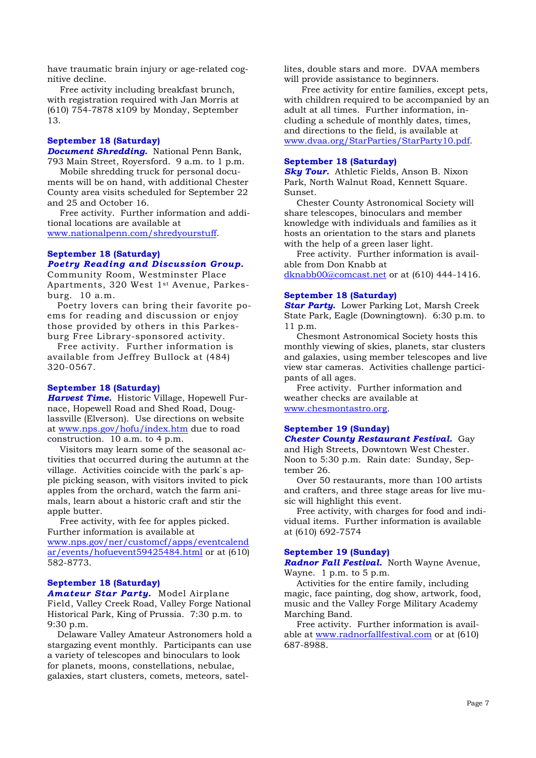have traumatic brain injury or age-related cognitive decline.

 Free activity including breakfast brunch, with registration required with Jan Morris at (610) 754-7878 x109 by Monday, September 13.

#### **September 18 (Saturday)**

*Document Shredding.* National Penn Bank, 793 Main Street, Royersford. 9 a.m. to 1 p.m.

 Mobile shredding truck for personal documents will be on hand, with additional Chester County area visits scheduled for September 22 and 25 and October 16.

 Free activity. Further information and additional locations are available at www.nationalpenn.com/shredyourstuff.

# **September 18 (Saturday)** *Poetry Reading and Discussion Group.*

Community Room, Westminster Place Apartments, 320 West 1st Avenue, Parkesburg. 10 a.m.

 Poetry lovers can bring their favorite poems for reading and discussion or enjoy those provided by others in this Parkesburg Free Library-sponsored activity.

 Free activity. Further information is available from Jeffrey Bullock at (484) 320-0567.

#### **September 18 (Saturday)**

*Harvest Time.* Historic Village, Hopewell Furnace, Hopewell Road and Shed Road, Douglassville (Elverson). Use directions on website at www.nps.gov/hofu/index.htm due to road construction. 10 a.m. to 4 p.m.

 Visitors may learn some of the seasonal activities that occurred during the autumn at the village. Activities coincide with the park`s apple picking season, with visitors invited to pick apples from the orchard, watch the farm animals, learn about a historic craft and stir the apple butter.

 Free activity, with fee for apples picked. Further information is available at www.nps.gov/ner/customcf/apps/eventcalend ar/events/hofuevent59425484.html or at (610) 582-8773.

#### **September 18 (Saturday)**

*Amateur Star Party.* Model Airplane Field, Valley Creek Road, Valley Forge National Historical Park, King of Prussia. 7:30 p.m. to 9:30 p.m.

 Delaware Valley Amateur Astronomers hold a stargazing event monthly. Participants can use a variety of telescopes and binoculars to look for planets, moons, constellations, nebulae, galaxies, start clusters, comets, meteors, satellites, double stars and more. DVAA members will provide assistance to beginners.

 Free activity for entire families, except pets, with children required to be accompanied by an adult at all times. Further information, including a schedule of monthly dates, times, and directions to the field, is available at www.dvaa.org/StarParties/StarParty10.pdf.

# **September 18 (Saturday)**

*Sky Tour.* Athletic Fields, Anson B. Nixon Park, North Walnut Road, Kennett Square. Sunset.

 Chester County Astronomical Society will share telescopes, binoculars and member knowledge with individuals and families as it hosts an orientation to the stars and planets with the help of a green laser light.

 Free activity. Further information is available from Don Knabb at

dknabb00@comcast.net or at (610) 444-1416.

#### **September 18 (Saturday)**

*Star Party.* Lower Parking Lot, Marsh Creek State Park, Eagle (Downingtown). 6:30 p.m. to 11 p.m.

 Chesmont Astronomical Society hosts this monthly viewing of skies, planets, star clusters and galaxies, using member telescopes and live view star cameras. Activities challenge participants of all ages.

 Free activity. Further information and weather checks are available at www.chesmontastro.org.

# **September 19 (Sunday)**

*Chester County Restaurant Festival.* Gay and High Streets, Downtown West Chester. Noon to 5:30 p.m. Rain date: Sunday, September 26.

 Over 50 restaurants, more than 100 artists and crafters, and three stage areas for live music will highlight this event.

 Free activity, with charges for food and individual items. Further information is available at (610) 692-7574

#### **September 19 (Sunday)**

*Radnor Fall Festival.* North Wayne Avenue, Wayne. 1 p.m. to 5 p.m.

 Activities for the entire family, including magic, face painting, dog show, artwork, food, music and the Valley Forge Military Academy Marching Band.

 Free activity. Further information is available at www.radnorfallfestival.com or at (610) 687-8988.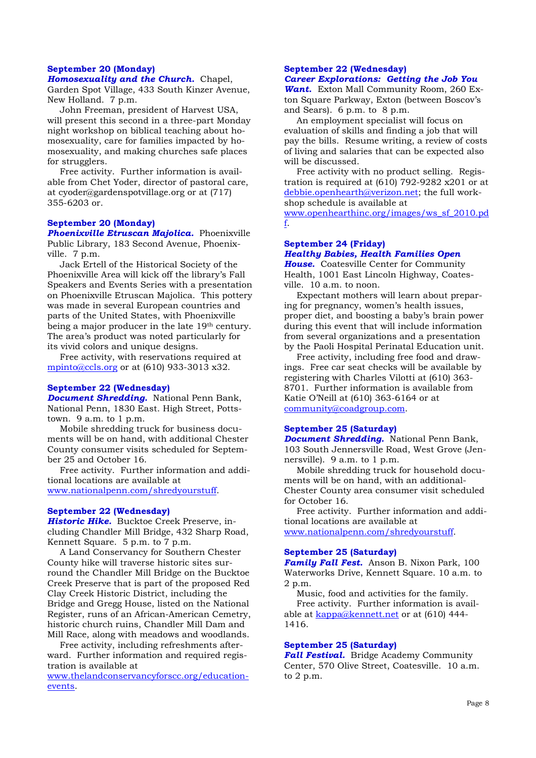#### **September 20 (Monday)**

*Homosexuality and the Church.* Chapel, Garden Spot Village, 433 South Kinzer Avenue, New Holland. 7 p.m.

 John Freeman, president of Harvest USA, will present this second in a three-part Monday night workshop on biblical teaching about homosexuality, care for families impacted by homosexuality, and making churches safe places for strugglers.

 Free activity. Further information is available from Chet Yoder, director of pastoral care, at cyoder@gardenspotvillage.org or at (717) 355-6203 or.

# **September 20 (Monday)**

*Phoenixville Etruscan Majolica.* Phoenixville Public Library, 183 Second Avenue, Phoenixville. 7 p.m.

 Jack Ertell of the Historical Society of the Phoenixville Area will kick off the library's Fall Speakers and Events Series with a presentation on Phoenixville Etruscan Majolica. This pottery was made in several European countries and parts of the United States, with Phoenixville being a major producer in the late 19<sup>th</sup> century. The area's product was noted particularly for its vivid colors and unique designs.

 Free activity, with reservations required at mpinto@ccls.org or at (610) 933-3013 x32.

#### **September 22 (Wednesday)**

*Document Shredding.* National Penn Bank, National Penn, 1830 East. High Street, Pottstown. 9 a.m. to 1 p.m.

 Mobile shredding truck for business documents will be on hand, with additional Chester County consumer visits scheduled for September 25 and October 16.

 Free activity. Further information and additional locations are available at www.nationalpenn.com/shredyourstuff.

#### **September 22 (Wednesday)**

*Historic Hike.* Bucktoe Creek Preserve, including Chandler Mill Bridge, 432 Sharp Road, Kennett Square. 5 p.m. to 7 p.m.

 A Land Conservancy for Southern Chester County hike will traverse historic sites surround the Chandler Mill Bridge on the Bucktoe Creek Preserve that is part of the proposed Red Clay Creek Historic District, including the Bridge and Gregg House, listed on the National Register, runs of an African-American Cemetry, historic church ruins, Chandler Mill Dam and Mill Race, along with meadows and woodlands.

 Free activity, including refreshments afterward. Further information and required registration is available at

www.thelandconservancyforscc.org/educationevents.

#### **September 22 (Wednesday)**

# *Career Explorations: Getting the Job You*

*Want.* Exton Mall Community Room, 260 Exton Square Parkway, Exton (between Boscov's and Sears). 6 p.m. to 8 p.m.

 An employment specialist will focus on evaluation of skills and finding a job that will pay the bills. Resume writing, a review of costs of living and salaries that can be expected also will be discussed.

 Free activity with no product selling. Registration is required at  $(610)$  792-9282 x201 or at debbie.openhearth@verizon.net; the full workshop schedule is available at

www.openhearthinc.org/images/ws\_sf\_2010.pd f.

#### **September 24 (Friday)**  *Healthy Babies, Health Families Open*

*House.* Coatesville Center for Community Health, 1001 East Lincoln Highway, Coatesville. 10 a.m. to noon.

 Expectant mothers will learn about preparing for pregnancy, women's health issues, proper diet, and boosting a baby's brain power during this event that will include information from several organizations and a presentation by the Paoli Hospital Perinatal Education unit.

 Free activity, including free food and drawings. Free car seat checks will be available by registering with Charles Vilotti at (610) 363- 8701. Further information is available from Katie O'Neill at (610) 363-6164 or at community@coadgroup.com.

# **September 25 (Saturday)**

*Document Shredding.* National Penn Bank, 103 South Jennersville Road, West Grove (Jennersville). 9 a.m. to 1 p.m.

 Mobile shredding truck for household documents will be on hand, with an additional-Chester County area consumer visit scheduled for October 16.

 Free activity. Further information and additional locations are available at

www.nationalpenn.com/shredyourstuff.

# **September 25 (Saturday)**

*Family Fall Fest.* Anson B. Nixon Park, 100 Waterworks Drive, Kennett Square. 10 a.m. to 2 p.m.

 Music, food and activities for the family. Free activity. Further information is available at kappa@kennett.net or at (610) 444-1416.

# **September 25 (Saturday)**

*Fall Festival.* Bridge Academy Community Center, 570 Olive Street, Coatesville. 10 a.m. to 2 p.m.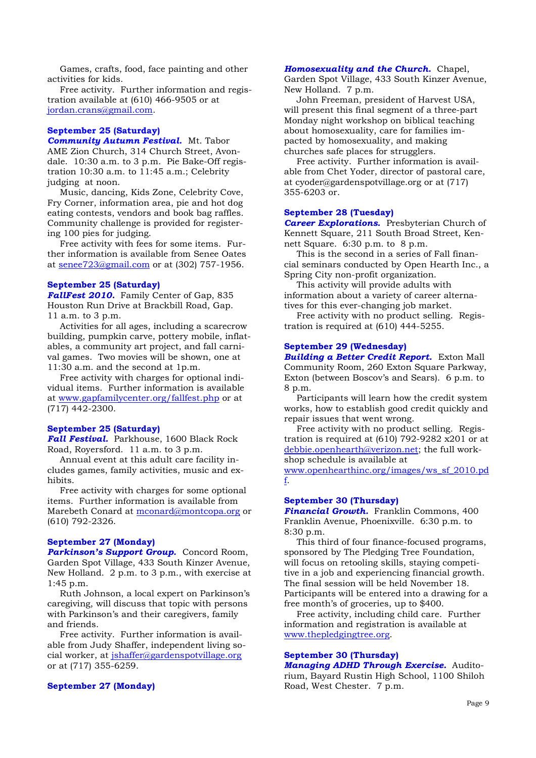Games, crafts, food, face painting and other activities for kids.

 Free activity. Further information and registration available at (610) 466-9505 or at jordan.crans@gmail.com.

#### **September 25 (Saturday)**

*Community Autumn Festival.* Mt. Tabor AME Zion Church, 314 Church Street, Avondale. 10:30 a.m. to 3 p.m. Pie Bake-Off registration 10:30 a.m. to 11:45 a.m.; Celebrity judging at noon.

 Music, dancing, Kids Zone, Celebrity Cove, Fry Corner, information area, pie and hot dog eating contests, vendors and book bag raffles. Community challenge is provided for registering 100 pies for judging.

 Free activity with fees for some items. Further information is available from Senee Oates at senee723@gmail.com or at (302) 757-1956.

#### **September 25 (Saturday)**

*FallFest 2010.* Family Center of Gap, 835 Houston Run Drive at Brackbill Road, Gap. 11 a.m. to 3 p.m.

 Activities for all ages, including a scarecrow building, pumpkin carve, pottery mobile, inflatables, a community art project, and fall carnival games. Two movies will be shown, one at 11:30 a.m. and the second at 1p.m.

 Free activity with charges for optional individual items. Further information is available at www.gapfamilycenter.org/fallfest.php or at (717) 442-2300.

#### **September 25 (Saturday)**

*Fall Festival.* Parkhouse, 1600 Black Rock Road, Royersford. 11 a.m. to 3 p.m.

 Annual event at this adult care facility includes games, family activities, music and exhibits.

 Free activity with charges for some optional items. Further information is available from Marebeth Conard at mconard@montcopa.org or (610) 792-2326.

#### **September 27 (Monday)**

*Parkinson's Support Group.* Concord Room, Garden Spot Village, 433 South Kinzer Avenue, New Holland. 2 p.m. to 3 p.m., with exercise at 1:45 p.m.

 Ruth Johnson, a local expert on Parkinson's caregiving, will discuss that topic with persons with Parkinson's and their caregivers, family and friends.

 Free activity. Further information is available from Judy Shaffer, independent living social worker, at jshaffer@gardenspotvillage.org or at (717) 355-6259.

#### **September 27 (Monday)**

#### *Homosexuality and the Church.* Chapel,

Garden Spot Village, 433 South Kinzer Avenue, New Holland. 7 p.m.

 John Freeman, president of Harvest USA, will present this final segment of a three-part Monday night workshop on biblical teaching about homosexuality, care for families impacted by homosexuality, and making churches safe places for strugglers.

 Free activity. Further information is available from Chet Yoder, director of pastoral care, at cyoder@gardenspotvillage.org or at (717) 355-6203 or.

# **September 28 (Tuesday)**

**Career Explorations.** Presbyterian Church of Kennett Square, 211 South Broad Street, Kennett Square. 6:30 p.m. to 8 p.m.

 This is the second in a series of Fall financial seminars conducted by Open Hearth Inc., a Spring City non-profit organization.

 This activity will provide adults with information about a variety of career alternatives for this ever-changing job market.

 Free activity with no product selling. Registration is required at (610) 444-5255.

# **September 29 (Wednesday)**

*Building a Better Credit Report.* Exton Mall Community Room, 260 Exton Square Parkway, Exton (between Boscov's and Sears). 6 p.m. to 8 p.m.

 Participants will learn how the credit system works, how to establish good credit quickly and repair issues that went wrong.

 Free activity with no product selling. Registration is required at (610) 792-9282 x201 or at debbie.openhearth@verizon.net; the full workshop schedule is available at

www.openhearthinc.org/images/ws\_sf\_2010.pd f.

### **September 30 (Thursday)**

*Financial Growth.* Franklin Commons, 400 Franklin Avenue, Phoenixville. 6:30 p.m. to 8:30 p.m.

 This third of four finance-focused programs, sponsored by The Pledging Tree Foundation, will focus on retooling skills, staying competitive in a job and experiencing financial growth. The final session will be held November 18. Participants will be entered into a drawing for a free month's of groceries, up to \$400.

 Free activity, including child care. Further information and registration is available at www.thepledgingtree.org.

#### **September 30 (Thursday)**  *Managing ADHD Through Exercise.* Audito-

rium, Bayard Rustin High School, 1100 Shiloh Road, West Chester. 7 p.m.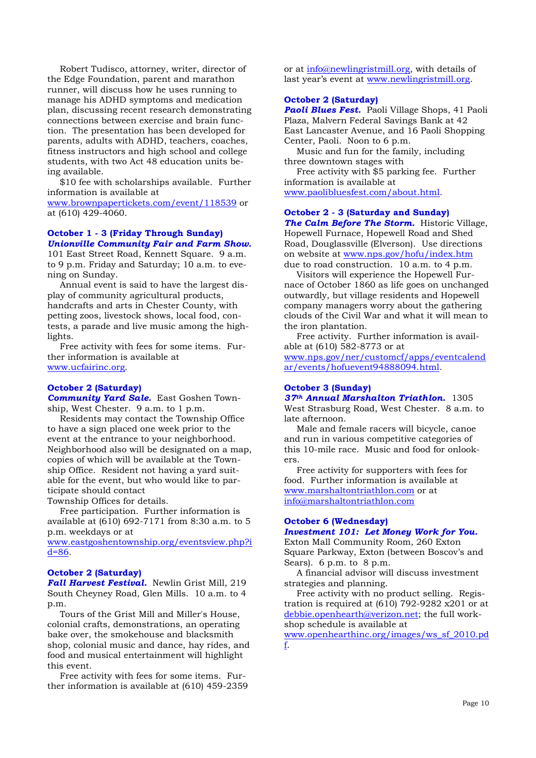Robert Tudisco, attorney, writer, director of the Edge Foundation, parent and marathon runner, will discuss how he uses running to manage his ADHD symptoms and medication plan, discussing recent research demonstrating connections between exercise and brain function. The presentation has been developed for parents, adults with ADHD, teachers, coaches, fitness instructors and high school and college students, with two Act 48 education units being available.

 \$10 fee with scholarships available. Further information is available at

www.brownpapertickets.com/event/118539 or at (610) 429-4060.

# **October 1 - 3 (Friday Through Sunday)**  *Unionville Community Fair and Farm Show.*

101 East Street Road, Kennett Square. 9 a.m. to 9 p.m. Friday and Saturday; 10 a.m. to evening on Sunday.

 Annual event is said to have the largest display of community agricultural products, handcrafts and arts in Chester County, with petting zoos, livestock shows, local food, contests, a parade and live music among the highlights.

 Free activity with fees for some items. Further information is available at www.ucfairinc.org.

# **October 2 (Saturday)**

*Community Yard Sale.* East Goshen Township, West Chester. 9 a.m. to 1 p.m.

 Residents may contact the Township Office to have a sign placed one week prior to the event at the entrance to your neighborhood. Neighborhood also will be designated on a map, copies of which will be available at the Township Office. Resident not having a yard suitable for the event, but who would like to participate should contact

Township Offices for details.

 Free participation. Further information is available at (610) 692-7171 from 8:30 a.m. to 5 p.m. weekdays or at

www.eastgoshentownship.org/eventsview.php?i d=86.

#### **October 2 (Saturday)**

*Fall Harvest Festival.* Newlin Grist Mill, 219 South Cheyney Road, Glen Mills. 10 a.m. to 4 p.m.

 Tours of the Grist Mill and Miller's House, colonial crafts, demonstrations, an operating bake over, the smokehouse and blacksmith shop, colonial music and dance, hay rides, and food and musical entertainment will highlight this event.

 Free activity with fees for some items. Further information is available at (610) 459-2359

or at info@newlingristmill.org, with details of last year's event at www.newlingristmill.org.

#### **October 2 (Saturday)**

*Paoli Blues Fest.* Paoli Village Shops, 41 Paoli Plaza, Malvern Federal Savings Bank at 42 East Lancaster Avenue, and 16 Paoli Shopping Center, Paoli. Noon to 6 p.m.

 Music and fun for the family, including three downtown stages with

 Free activity with \$5 parking fee. Further information is available at www.paolibluesfest.com/about.html.

# **October 2 - 3 (Saturday and Sunday)**

*The Calm Before The Storm.* Historic Village, Hopewell Furnace, Hopewell Road and Shed Road, Douglassville (Elverson). Use directions on website at www.nps.gov/hofu/index.htm due to road construction. 10 a.m. to 4 p.m.

 Visitors will experience the Hopewell Furnace of October 1860 as life goes on unchanged outwardly, but village residents and Hopewell company managers worry about the gathering clouds of the Civil War and what it will mean to the iron plantation.

 Free activity. Further information is available at (610) 582-8773 or at

www.nps.gov/ner/customcf/apps/eventcalend ar/events/hofuevent94888094.html.

#### **October 3 (Sunday)**

*37th Annual Marshalton Triathlon.* 1305 West Strasburg Road, West Chester. 8 a.m. to

late afternoon. Male and female racers will bicycle, canoe and run in various competitive categories of this 10-mile race. Music and food for onlookers.

 Free activity for supporters with fees for food. Further information is available at www.marshaltontriathlon.com or at info@marshaltontriathlon.com

# **October 6 (Wednesday)**

#### *Investment 101: Let Money Work for You.*  Exton Mall Community Room, 260 Exton

Square Parkway, Exton (between Boscov's and Sears).  $6$  p.m. to  $8$  p.m.

 A financial advisor will discuss investment strategies and planning.

 Free activity with no product selling. Registration is required at  $(610)$  792-9282 x201 or at debbie.openhearth@verizon.net; the full workshop schedule is available at

www.openhearthinc.org/images/ws\_sf\_2010.pd f.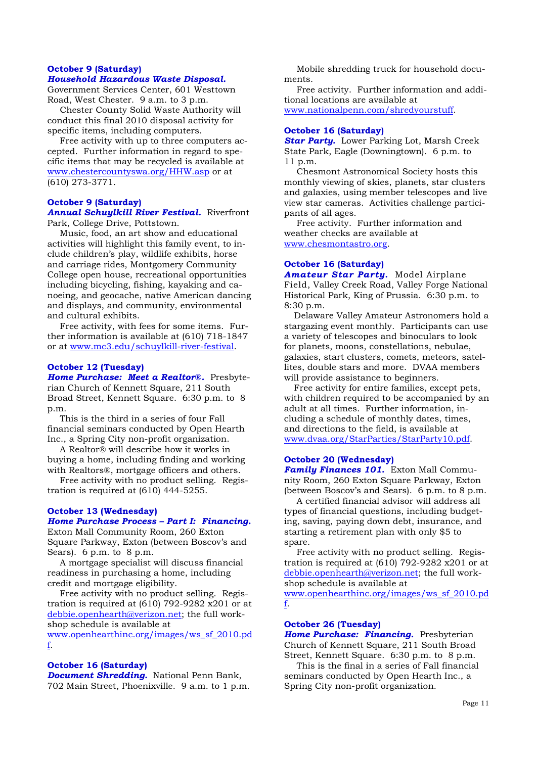#### **October 9 (Saturday)**

# *Household Hazardous Waste Disposal.*

Government Services Center, 601 Westtown Road, West Chester. 9 a.m. to 3 p.m.

 Chester County Solid Waste Authority will conduct this final 2010 disposal activity for specific items, including computers.

 Free activity with up to three computers accepted. Further information in regard to specific items that may be recycled is available at www.chestercountyswa.org/HHW.asp or at (610) 273-3771.

# **October 9 (Saturday)**

*Annual Schuylkill River Festival.* Riverfront Park, College Drive, Pottstown.

 Music, food, an art show and educational activities will highlight this family event, to include children's play, wildlife exhibits, horse and carriage rides, Montgomery Community College open house, recreational opportunities including bicycling, fishing, kayaking and canoeing, and geocache, native American dancing and displays, and community, environmental and cultural exhibits.

 Free activity, with fees for some items. Further information is available at (610) 718-1847 or at www.mc3.edu/schuylkill-river-festival.

#### **October 12 (Tuesday)**

*Home Purchase: Meet a Realtor®.*Presbyterian Church of Kennett Square, 211 South Broad Street, Kennett Square. 6:30 p.m. to 8 p.m.

 This is the third in a series of four Fall financial seminars conducted by Open Hearth Inc., a Spring City non-profit organization.

 A Realtor® will describe how it works in buying a home, including finding and working with Realtors®, mortgage officers and others.

 Free activity with no product selling. Registration is required at (610) 444-5255.

#### **October 13 (Wednesday)**

#### *Home Purchase Process – Part I: Financing.*

Exton Mall Community Room, 260 Exton Square Parkway, Exton (between Boscov's and Sears).  $6 \text{ p.m.}$  to  $8 \text{ p.m.}$ 

 A mortgage specialist will discuss financial readiness in purchasing a home, including credit and mortgage eligibility.

 Free activity with no product selling. Registration is required at (610) 792-9282 x201 or at debbie.openhearth@verizon.net; the full workshop schedule is available at

www.openhearthinc.org/images/ws\_sf\_2010.pd f.

# **October 16 (Saturday)**

*Document Shredding.* National Penn Bank, 702 Main Street, Phoenixville. 9 a.m. to 1 p.m.

 Mobile shredding truck for household documents.

 Free activity. Further information and additional locations are available at www.nationalpenn.com/shredyourstuff.

#### **October 16 (Saturday)**

*Star Party.* Lower Parking Lot, Marsh Creek State Park, Eagle (Downingtown). 6 p.m. to 11 p.m.

 Chesmont Astronomical Society hosts this monthly viewing of skies, planets, star clusters and galaxies, using member telescopes and live view star cameras. Activities challenge participants of all ages.

 Free activity. Further information and weather checks are available at www.chesmontastro.org.

#### **October 16 (Saturday)**

*Amateur Star Party.* Model Airplane Field, Valley Creek Road, Valley Forge National Historical Park, King of Prussia. 6:30 p.m. to 8:30 p.m.

 Delaware Valley Amateur Astronomers hold a stargazing event monthly. Participants can use a variety of telescopes and binoculars to look for planets, moons, constellations, nebulae, galaxies, start clusters, comets, meteors, satellites, double stars and more. DVAA members will provide assistance to beginners.

 Free activity for entire families, except pets, with children required to be accompanied by an adult at all times. Further information, including a schedule of monthly dates, times, and directions to the field, is available at www.dvaa.org/StarParties/StarParty10.pdf.

#### **October 20 (Wednesday)**

*Family Finances 101.* Exton Mall Community Room, 260 Exton Square Parkway, Exton (between Boscov's and Sears). 6 p.m. to 8 p.m.

 A certified financial advisor will address all types of financial questions, including budgeting, saving, paying down debt, insurance, and starting a retirement plan with only \$5 to spare.

 Free activity with no product selling. Registration is required at (610) 792-9282 x201 or at debbie.openhearth@verizon.net; the full workshop schedule is available at

www.openhearthinc.org/images/ws\_sf\_2010.pd f.

#### **October 26 (Tuesday)**

**Home Purchase: Financing.** Presbyterian Church of Kennett Square, 211 South Broad Street, Kennett Square. 6:30 p.m. to 8 p.m.

 This is the final in a series of Fall financial seminars conducted by Open Hearth Inc., a Spring City non-profit organization.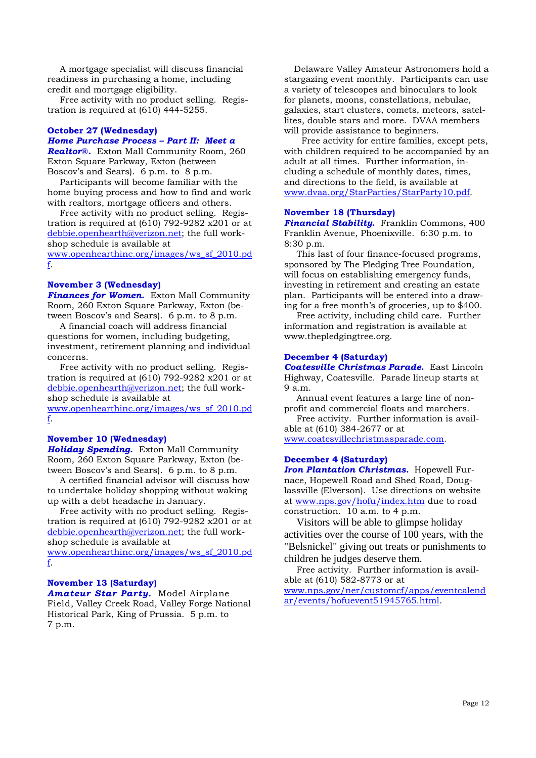A mortgage specialist will discuss financial readiness in purchasing a home, including credit and mortgage eligibility.

 Free activity with no product selling. Registration is required at (610) 444-5255.

# **October 27 (Wednesday)**

# *Home Purchase Process – Part II: Meet a*

*Realtor®.* Exton Mall Community Room, 260 Exton Square Parkway, Exton (between Boscov's and Sears). 6 p.m. to 8 p.m.

 Participants will become familiar with the home buying process and how to find and work with realtors, mortgage officers and others.

 Free activity with no product selling. Registration is required at  $(610)$  792-9282 x201 or at debbie.openhearth@verizon.net; the full workshop schedule is available at

www.openhearthinc.org/images/ws\_sf\_2010.pd f.

#### **November 3 (Wednesday)**

*Finances for Women.* Exton Mall Community Room, 260 Exton Square Parkway, Exton (between Boscov's and Sears). 6 p.m. to 8 p.m.

 A financial coach will address financial questions for women, including budgeting, investment, retirement planning and individual concerns.

 Free activity with no product selling. Registration is required at  $(610)$  792-9282 x201 or at debbie.openhearth@verizon.net; the full workshop schedule is available at www.openhearthinc.org/images/ws\_sf\_2010.pd

f.

# **November 10 (Wednesday)**

*Holiday Spending.* Exton Mall Community Room, 260 Exton Square Parkway, Exton (between Boscov's and Sears). 6 p.m. to 8 p.m.

 A certified financial advisor will discuss how to undertake holiday shopping without waking up with a debt headache in January.

 Free activity with no product selling. Registration is required at  $(610)$  792-9282 x201 or at debbie.openhearth@verizon.net; the full workshop schedule is available at

www.openhearthinc.org/images/ws\_sf\_2010.pd f.

# **November 13 (Saturday)**

*Amateur Star Party.* Model Airplane Field, Valley Creek Road, Valley Forge National Historical Park, King of Prussia. 5 p.m. to 7 p.m.

 Delaware Valley Amateur Astronomers hold a stargazing event monthly. Participants can use a variety of telescopes and binoculars to look for planets, moons, constellations, nebulae, galaxies, start clusters, comets, meteors, satellites, double stars and more. DVAA members will provide assistance to beginners.

 Free activity for entire families, except pets, with children required to be accompanied by an adult at all times. Further information, including a schedule of monthly dates, times, and directions to the field, is available at www.dvaa.org/StarParties/StarParty10.pdf.

# **November 18 (Thursday)**

*Financial Stability.* Franklin Commons, 400 Franklin Avenue, Phoenixville. 6:30 p.m. to 8:30 p.m.

 This last of four finance-focused programs, sponsored by The Pledging Tree Foundation, will focus on establishing emergency funds, investing in retirement and creating an estate plan. Participants will be entered into a drawing for a free month's of groceries, up to \$400.

 Free activity, including child care. Further information and registration is available at www.thepledgingtree.org.

#### **December 4 (Saturday)**

*Coatesville Christmas Parade.* East Lincoln Highway, Coatesville. Parade lineup starts at 9 a.m.

 Annual event features a large line of nonprofit and commercial floats and marchers.

 Free activity. Further information is available at (610) 384-2677 or at

www.coatesvillechristmasparade.com.

# **December 4 (Saturday)**

*Iron Plantation Christmas.* Hopewell Furnace, Hopewell Road and Shed Road, Douglassville (Elverson). Use directions on website at www.nps.gov/hofu/index.htm due to road construction. 10 a.m. to 4 p.m.

Visitors will be able to glimpse holiday activities over the course of 100 years, with the "Belsnickel" giving out treats or punishments to children he judges deserve them.

 Free activity. Further information is available at (610) 582-8773 or at

www.nps.gov/ner/customcf/apps/eventcalend ar/events/hofuevent51945765.html.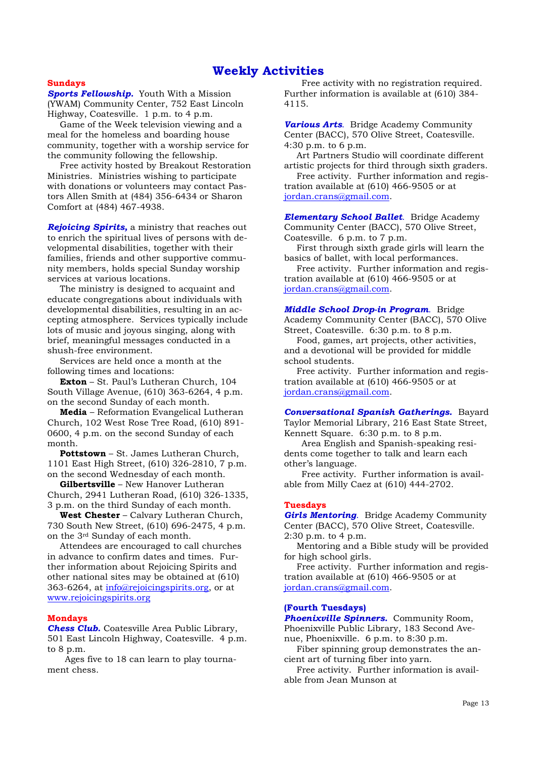# **Weekly Activities**

#### **Sundays**

*Sports Fellowship.* Youth With a Mission (YWAM) Community Center, 752 East Lincoln Highway, Coatesville. 1 p.m. to 4 p.m.

 Game of the Week television viewing and a meal for the homeless and boarding house community, together with a worship service for the community following the fellowship.

 Free activity hosted by Breakout Restoration Ministries. Ministries wishing to participate with donations or volunteers may contact Pastors Allen Smith at (484) 356-6434 or Sharon Comfort at (484) 467-4938.

*Rejoicing Spirits,* a ministry that reaches out to enrich the spiritual lives of persons with developmental disabilities, together with their families, friends and other supportive community members, holds special Sunday worship services at various locations.

 The ministry is designed to acquaint and educate congregations about individuals with developmental disabilities, resulting in an accepting atmosphere. Services typically include lots of music and joyous singing, along with brief, meaningful messages conducted in a shush-free environment.

 Services are held once a month at the following times and locations:

**Exton** – St. Paul's Lutheran Church, 104 South Village Avenue, (610) 363-6264, 4 p.m. on the second Sunday of each month.

**Media** – Reformation Evangelical Lutheran Church, 102 West Rose Tree Road, (610) 891- 0600, 4 p.m. on the second Sunday of each month.

**Pottstown** – St. James Lutheran Church, 1101 East High Street, (610) 326-2810, 7 p.m. on the second Wednesday of each month.

**Gilbertsville** – New Hanover Lutheran Church, 2941 Lutheran Road, (610) 326-1335, 3 p.m. on the third Sunday of each month.

**West Chester** – Calvary Lutheran Church, 730 South New Street, (610) 696-2475, 4 p.m. on the 3rd Sunday of each month.

 Attendees are encouraged to call churches in advance to confirm dates and times. Further information about Rejoicing Spirits and other national sites may be obtained at (610) 363-6264, at info@rejoicingspirits.org, or at www.rejoicingspirits.org

#### **Mondays**

*Chess Club.* Coatesville Area Public Library, 501 East Lincoln Highway, Coatesville. 4 p.m. to 8 p.m.

 Ages five to 18 can learn to play tournament chess.

 Free activity with no registration required. Further information is available at (610) 384- 4115.

*Various Arts*. Bridge Academy Community Center (BACC), 570 Olive Street, Coatesville. 4:30 p.m. to 6 p.m.

 Art Partners Studio will coordinate different artistic projects for third through sixth graders.

 Free activity. Further information and registration available at (610) 466-9505 or at jordan.crans@gmail.com.

*Elementary School Ballet*. Bridge Academy Community Center (BACC), 570 Olive Street, Coatesville. 6 p.m. to 7 p.m.

 First through sixth grade girls will learn the basics of ballet, with local performances.

 Free activity. Further information and registration available at (610) 466-9505 or at jordan.crans@gmail.com.

*Middle School Drop-in Program*. Bridge Academy Community Center (BACC), 570 Olive Street, Coatesville. 6:30 p.m. to 8 p.m.

 Food, games, art projects, other activities, and a devotional will be provided for middle school students.

 Free activity. Further information and registration available at (610) 466-9505 or at jordan.crans@gmail.com.

*Conversational Spanish Gatherings.*Bayard Taylor Memorial Library, 216 East State Street, Kennett Square. 6:30 p.m. to 8 p.m.

Area English and Spanish-speaking residents come together to talk and learn each other's language.

 Free activity. Further information is available from Milly Caez at (610) 444-2702.

#### **Tuesdays**

*Girls Mentoring*. Bridge Academy Community Center (BACC), 570 Olive Street, Coatesville. 2:30 p.m. to 4 p.m.

 Mentoring and a Bible study will be provided for high school girls.

 Free activity. Further information and registration available at (610) 466-9505 or at jordan.crans@gmail.com.

#### **(Fourth Tuesdays)**

*Phoenixville Spinners.* Community Room, Phoenixville Public Library, 183 Second Avenue, Phoenixville. 6 p.m. to 8:30 p.m.

 Fiber spinning group demonstrates the ancient art of turning fiber into yarn.

 Free activity. Further information is available from Jean Munson at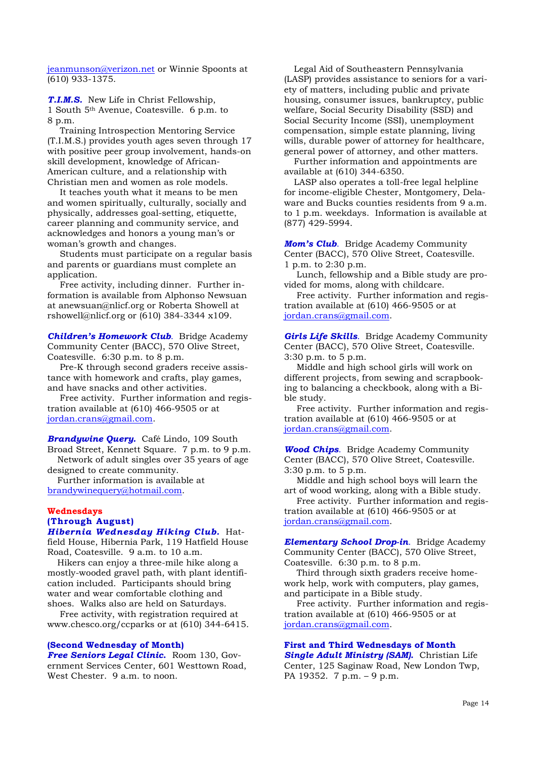jeanmunson@verizon.net or Winnie Spoonts at (610) 933-1375.

*T.I.M.S.* New Life in Christ Fellowship, 1 South 5th Avenue, Coatesville. 6 p.m. to 8 p.m.

 Training Introspection Mentoring Service (T.I.M.S.) provides youth ages seven through 17 with positive peer group involvement, hands-on skill development, knowledge of African-American culture, and a relationship with Christian men and women as role models.

 It teaches youth what it means to be men and women spiritually, culturally, socially and physically, addresses goal-setting, etiquette, career planning and community service, and acknowledges and honors a young man's or woman's growth and changes.

 Students must participate on a regular basis and parents or guardians must complete an application.

 Free activity, including dinner. Further information is available from Alphonso Newsuan at anewsuan@nlicf.org or Roberta Showell at rshowell@nlicf.org or (610) 384-3344 x109.

*Children's Homework Club*. Bridge Academy Community Center (BACC), 570 Olive Street, Coatesville. 6:30 p.m. to 8 p.m.

 Pre-K through second graders receive assistance with homework and crafts, play games, and have snacks and other activities.

 Free activity. Further information and registration available at (610) 466-9505 or at jordan.crans@gmail.com.

*Brandywine Query.* Café Lindo, 109 South Broad Street, Kennett Square. 7 p.m. to 9 p.m. Network of adult singles over 35 years of age

designed to create community. Further information is available at brandywinequery@hotmail.com.

**Wednesdays**

# **(Through August)**

*Hibernia Wednesday Hiking Club.* Hatfield House, Hibernia Park, 119 Hatfield House Road, Coatesville. 9 a.m. to 10 a.m.

 Hikers can enjoy a three-mile hike along a mostly-wooded gravel path, with plant identification included. Participants should bring water and wear comfortable clothing and shoes. Walks also are held on Saturdays.

 Free activity, with registration required at www.chesco.org/ccparks or at (610) 344-6415.

# **(Second Wednesday of Month)**

*Free Seniors Legal Clinic***.** Room 130, Government Services Center, 601 Westtown Road, West Chester. 9 a.m. to noon.

 Legal Aid of Southeastern Pennsylvania (LASP) provides assistance to seniors for a variety of matters, including public and private housing, consumer issues, bankruptcy, public welfare, Social Security Disability (SSD) and Social Security Income (SSI), unemployment compensation, simple estate planning, living wills, durable power of attorney for healthcare, general power of attorney, and other matters.

 Further information and appointments are available at (610) 344-6350.

 LASP also operates a toll-free legal helpline for income-eligible Chester, Montgomery, Delaware and Bucks counties residents from 9 a.m. to 1 p.m. weekdays. Information is available at (877) 429-5994.

*Mom's Club*. Bridge Academy Community Center (BACC), 570 Olive Street, Coatesville. 1 p.m. to 2:30 p.m.

 Lunch, fellowship and a Bible study are provided for moms, along with childcare.

 Free activity. Further information and registration available at (610) 466-9505 or at jordan.crans@gmail.com.

*Girls Life Skills*. Bridge Academy Community Center (BACC), 570 Olive Street, Coatesville. 3:30 p.m. to 5 p.m.

 Middle and high school girls will work on different projects, from sewing and scrapbooking to balancing a checkbook, along with a Bible study.

 Free activity. Further information and registration available at (610) 466-9505 or at jordan.crans@gmail.com.

*Wood Chips*. Bridge Academy Community Center (BACC), 570 Olive Street, Coatesville. 3:30 p.m. to 5 p.m.

 Middle and high school boys will learn the art of wood working, along with a Bible study.

 Free activity. Further information and registration available at (610) 466-9505 or at jordan.crans@gmail.com.

*Elementary School Drop-in*. Bridge Academy Community Center (BACC), 570 Olive Street, Coatesville. 6:30 p.m. to 8 p.m.

 Third through sixth graders receive homework help, work with computers, play games, and participate in a Bible study.

 Free activity. Further information and registration available at (610) 466-9505 or at jordan.crans@gmail.com.

# **First and Third Wednesdays of Month**

*Single Adult Ministry (SAM).* Christian Life Center, 125 Saginaw Road, New London Twp, PA 19352. 7 p.m. – 9 p.m.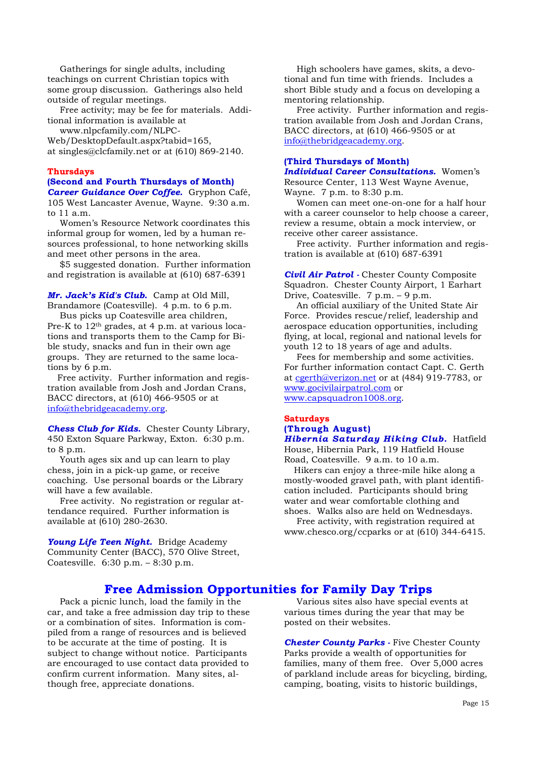Gatherings for single adults, including teachings on current Christian topics with some group discussion. Gatherings also held outside of regular meetings.

 Free activity; may be fee for materials. Additional information is available at

www.nlpcfamily.com/NLPC-

Web/DesktopDefault.aspx?tabid=165, at singles@clcfamily.net or at (610) 869-2140.

# **Thursdays**

#### **(Second and Fourth Thursdays of Month)**  *Career Guidance Over Coffee.* Gryphon Café,

105 West Lancaster Avenue, Wayne. 9:30 a.m. to 11 a.m.

 Women's Resource Network coordinates this informal group for women, led by a human resources professional, to hone networking skills and meet other persons in the area.

 \$5 suggested donation. Further information and registration is available at (610) 687-6391

*Mr. Jack's Kid's Club.*Camp at Old Mill, Brandamore (Coatesville). 4 p.m. to 6 p.m.

 Bus picks up Coatesville area children, Pre-K to  $12<sup>th</sup>$  grades, at 4 p.m. at various locations and transports them to the Camp for Bible study, snacks and fun in their own age groups. They are returned to the same locations by 6 p.m.

 Free activity. Further information and registration available from Josh and Jordan Crans, BACC directors, at (610) 466-9505 or at info@thebridgeacademy.org.

*Chess Club for Kids.* Chester County Library, 450 Exton Square Parkway, Exton. 6:30 p.m. to 8 p.m.

 Youth ages six and up can learn to play chess, join in a pick-up game, or receive coaching. Use personal boards or the Library will have a few available.

 Free activity. No registration or regular attendance required. Further information is available at (610) 280-2630.

*Young Life Teen Night.* Bridge Academy Community Center (BACC), 570 Olive Street, Coatesville. 6:30 p.m. – 8:30 p.m.

 High schoolers have games, skits, a devotional and fun time with friends. Includes a short Bible study and a focus on developing a mentoring relationship.

 Free activity. Further information and registration available from Josh and Jordan Crans, BACC directors, at (610) 466-9505 or at info@thebridgeacademy.org.

# **(Third Thursdays of Month)**

*Individual Career Consultations.* Women's Resource Center, 113 West Wayne Avenue, Wayne. 7 p.m. to 8:30 p.m.

 Women can meet one-on-one for a half hour with a career counselor to help choose a career, review a resume, obtain a mock interview, or receive other career assistance.

 Free activity. Further information and registration is available at (610) 687-6391

*Civil Air Patrol -* Chester County Composite Squadron. Chester County Airport, 1 Earhart Drive, Coatesville. 7 p.m. – 9 p.m.

 An official auxiliary of the United State Air Force. Provides rescue/relief, leadership and aerospace education opportunities, including flying, at local, regional and national levels for youth 12 to 18 years of age and adults.

 Fees for membership and some activities. For further information contact Capt. C. Gerth at cgerth@verizon.net or at (484) 919-7783, or www.gocivilairpatrol.com or www.capsquadron1008.org.

#### **Saturdays (Through August)**  *Hibernia Saturday Hiking Club.* Hatfield

House, Hibernia Park, 119 Hatfield House Road, Coatesville. 9 a.m. to 10 a.m.

 Hikers can enjoy a three-mile hike along a mostly-wooded gravel path, with plant identification included. Participants should bring water and wear comfortable clothing and shoes. Walks also are held on Wednesdays.

 Free activity, with registration required at www.chesco.org/ccparks or at (610) 344-6415.

# **Free Admission Opportunities for Family Day Trips**

 Pack a picnic lunch, load the family in the car, and take a free admission day trip to these or a combination of sites. Information is compiled from a range of resources and is believed to be accurate at the time of posting. It is subject to change without notice. Participants are encouraged to use contact data provided to confirm current information. Many sites, although free, appreciate donations.

 Various sites also have special events at various times during the year that may be posted on their websites.

*Chester County Parks -* Five Chester County Parks provide a wealth of opportunities for families, many of them free. Over 5,000 acres of parkland include areas for bicycling, birding, camping, boating, visits to historic buildings,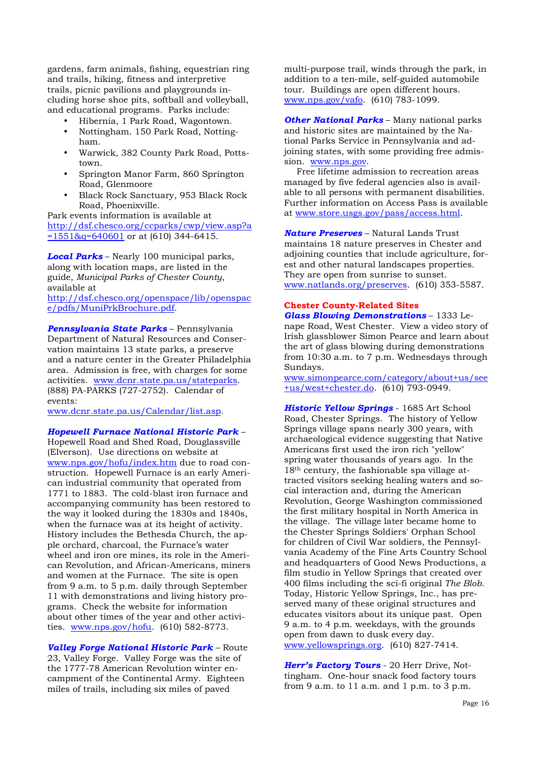gardens, farm animals, fishing, equestrian ring and trails, hiking, fitness and interpretive trails, picnic pavilions and playgrounds including horse shoe pits, softball and volleyball, and educational programs. Parks include:

• Hibernia, 1 Park Road, Wagontown.

- Nottingham. 150 Park Road, Nottingham.
- Warwick, 382 County Park Road, Pottstown.
- Springton Manor Farm, 860 Springton Road, Glenmoore
- Black Rock Sanctuary, 953 Black Rock Road, Phoenixville.

Park events information is available at http://dsf.chesco.org/ccparks/cwp/view.asp?a  $=1551\&q=640601$  or at (610) 344-6415.

*Local Parks* – Nearly 100 municipal parks, along with location maps, are listed in the guide, *Municipal Parks of Chester County*, available at

http://dsf.chesco.org/openspace/lib/openspac e/pdfs/MuniPrkBrochure.pdf.

*Pennsylvania State Parks* – Pennsylvania Department of Natural Resources and Conservation maintains 13 state parks, a preserve and a nature center in the Greater Philadelphia area. Admission is free, with charges for some activities. www.dcnr.state.pa.us/stateparks. (888) PA-PARKS (727-2752). Calendar of events:

www.dcnr.state.pa.us/Calendar/list.asp.

*Hopewell Furnace National Historic Park* – Hopewell Road and Shed Road, Douglassville (Elverson). Use directions on website at www.nps.gov/hofu/index.htm due to road construction. Hopewell Furnace is an early American industrial community that operated from 1771 to 1883. The cold-blast iron furnace and accompanying community has been restored to the way it looked during the 1830s and 1840s, when the furnace was at its height of activity. History includes the Bethesda Church, the ap-

ple orchard, charcoal, the Furnace's water wheel and iron ore mines, its role in the American Revolution, and African-Americans, miners and women at the Furnace. The site is open from 9 a.m. to 5 p.m. daily through September 11 with demonstrations and living history programs. Check the website for information about other times of the year and other activities. www.nps.gov/hofu. (610) 582-8773.

*Valley Forge National Historic Park* – Route 23, Valley Forge. Valley Forge was the site of the 1777-78 American Revolution winter encampment of the Continental Army. Eighteen miles of trails, including six miles of paved

multi-purpose trail, winds through the park, in addition to a ten-mile, self-guided automobile tour. Buildings are open different hours. www.nps.gov/vafo. (610) 783-1099.

*Other National Parks* – Many national parks and historic sites are maintained by the National Parks Service in Pennsylvania and adjoining states, with some providing free admission. www.nps.gov.

 Free lifetime admission to recreation areas managed by five federal agencies also is available to all persons with permanent disabilities. Further information on Access Pass is available at www.store.usgs.gov/pass/access.html.

*Nature Preserves* – Natural Lands Trust maintains 18 nature preserves in Chester and adjoining counties that include agriculture, forest and other natural landscapes properties. They are open from sunrise to sunset. www.natlands.org/preserves. (610) 353-5587.

#### **Chester County-Related Sites**

*Glass Blowing Demonstrations* – 1333 Lenape Road, West Chester. View a video story of Irish glassblower Simon Pearce and learn about the art of glass blowing during demonstrations from 10:30 a.m. to 7 p.m. Wednesdays through Sundays.

www.simonpearce.com/category/about+us/see +us/west+chester.do. (610) 793-0949.

*Historic Yellow Springs* - 1685 Art School Road, Chester Springs. The history of Yellow Springs village spans nearly 300 years, with archaeological evidence suggesting that Native Americans first used the iron rich "yellow" spring water thousands of years ago. In the 18th century, the fashionable spa village attracted visitors seeking healing waters and social interaction and, during the American Revolution, George Washington commissioned the first military hospital in North America in the village. The village later became home to the Chester Springs Soldiers' Orphan School for children of Civil War soldiers, the Pennsylvania Academy of the Fine Arts Country School and headquarters of Good News Productions, a film studio in Yellow Springs that created over 400 films including the sci-fi original *The Blob*. Today, Historic Yellow Springs, Inc., has preserved many of these original structures and educates visitors about its unique past. Open 9 a.m. to 4 p.m. weekdays, with the grounds open from dawn to dusk every day. www.yellowsprings.org. (610) 827-7414.

*Herr's Factory Tours* - 20 Herr Drive, Nottingham. One-hour snack food factory tours from 9 a.m. to 11 a.m. and 1 p.m. to 3 p.m.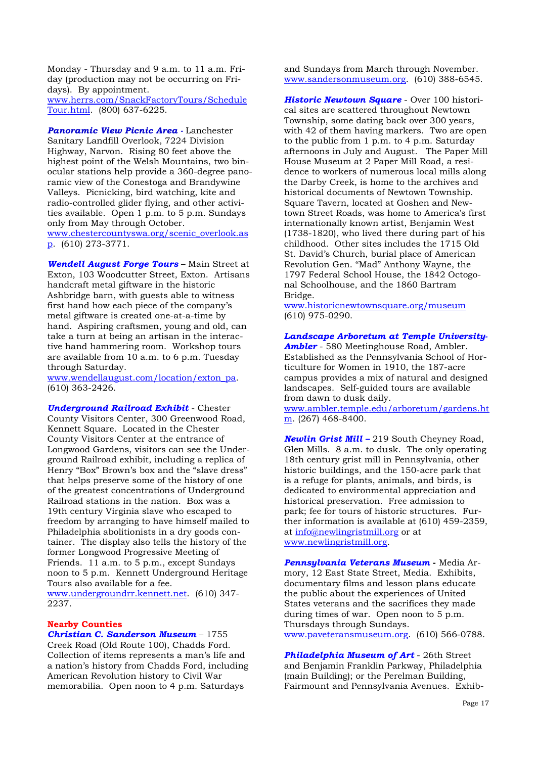Monday - Thursday and 9 a.m. to 11 a.m. Friday (production may not be occurring on Fridays). By appointment. www.herrs.com/SnackFactoryTours/Schedule

Tour.html. (800) 637-6225.

*Panoramic View Picnic Area -* Lanchester Sanitary Landfill Overlook, 7224 Division Highway, Narvon. Rising 80 feet above the highest point of the Welsh Mountains, two binocular stations help provide a 360-degree panoramic view of the Conestoga and Brandywine Valleys. Picnicking, bird watching, kite and radio-controlled glider flying, and other activities available. Open 1 p.m. to 5 p.m. Sundays only from May through October. www.chestercountyswa.org/scenic\_overlook.as

p. (610) 273-3771.

*Wendell August Forge Tours* – Main Street at Exton, 103 Woodcutter Street, Exton. Artisans handcraft metal giftware in the historic Ashbridge barn, with guests able to witness first hand how each piece of the company's metal giftware is created one-at-a-time by hand. Aspiring craftsmen, young and old, can take a turn at being an artisan in the interactive hand hammering room. Workshop tours are available from 10 a.m. to 6 p.m. Tuesday through Saturday.

www.wendellaugust.com/location/exton\_pa. (610) 363-2426.

*Underground Railroad Exhibit* - Chester County Visitors Center, 300 Greenwood Road, Kennett Square. Located in the Chester County Visitors Center at the entrance of Longwood Gardens, visitors can see the Underground Railroad exhibit, including a replica of Henry "Box" Brown's box and the "slave dress" that helps preserve some of the history of one of the greatest concentrations of Underground Railroad stations in the nation. Box was a 19th century Virginia slave who escaped to freedom by arranging to have himself mailed to Philadelphia abolitionists in a dry goods container. The display also tells the history of the former Longwood Progressive Meeting of Friends. 11 a.m. to 5 p.m., except Sundays noon to 5 p.m. Kennett Underground Heritage Tours also available for a fee.

www.undergroundrr.kennett.net. (610) 347- 2237.

### **Nearby Counties**

*Christian C. Sanderson Museum* – 1755 Creek Road (Old Route 100), Chadds Ford. Collection of items represents a man's life and a nation's history from Chadds Ford, including American Revolution history to Civil War memorabilia. Open noon to 4 p.m. Saturdays

and Sundays from March through November. www.sandersonmuseum.org. (610) 388-6545.

*Historic Newtown Square* - Over 100 historical sites are scattered throughout Newtown Township, some dating back over 300 years, with 42 of them having markers. Two are open to the public from 1 p.m. to 4 p.m. Saturday afternoons in July and August. The Paper Mill House Museum at 2 Paper Mill Road, a residence to workers of numerous local mills along the Darby Creek, is home to the archives and historical documents of Newtown Township. Square Tavern, located at Goshen and Newtown Street Roads, was home to America's first internationally known artist, Benjamin West (1738-1820), who lived there during part of his childhood. Other sites includes the 1715 Old St. David's Church, burial place of American Revolution Gen. "Mad" Anthony Wayne, the 1797 Federal School House, the 1842 Octogonal Schoolhouse, and the 1860 Bartram Bridge.

www.historicnewtownsquare.org/museum (610) 975-0290.

*Landscape Arboretum at Temple University-Ambler* - 580 Meetinghouse Road, Ambler. Established as the Pennsylvania School of Horticulture for Women in 1910, the 187-acre campus provides a mix of natural and designed landscapes. Self-guided tours are available from dawn to dusk daily.

www.ambler.temple.edu/arboretum/gardens.ht  $m.$  (267) 468-8400.

*Newlin Grist Mill –* 219 South Cheyney Road, Glen Mills. 8 a.m. to dusk. The only operating 18th century grist mill in Pennsylvania, other historic buildings, and the 150-acre park that is a refuge for plants, animals, and birds, is dedicated to environmental appreciation and historical preservation. Free admission to park; fee for tours of historic structures. Further information is available at (610) 459-2359, at info@newlingristmill.org or at www.newlingristmill.org.

*Pennsylvania Veterans Museum* **-** Media Armory, 12 East State Street, Media. Exhibits, documentary films and lesson plans educate the public about the experiences of United States veterans and the sacrifices they made during times of war. Open noon to 5 p.m. Thursdays through Sundays. www.paveteransmuseum.org. (610) 566-0788.

*Philadelphia Museum of Art* - 26th Street and Benjamin Franklin Parkway, Philadelphia (main Building); or the Perelman Building, Fairmount and Pennsylvania Avenues. Exhib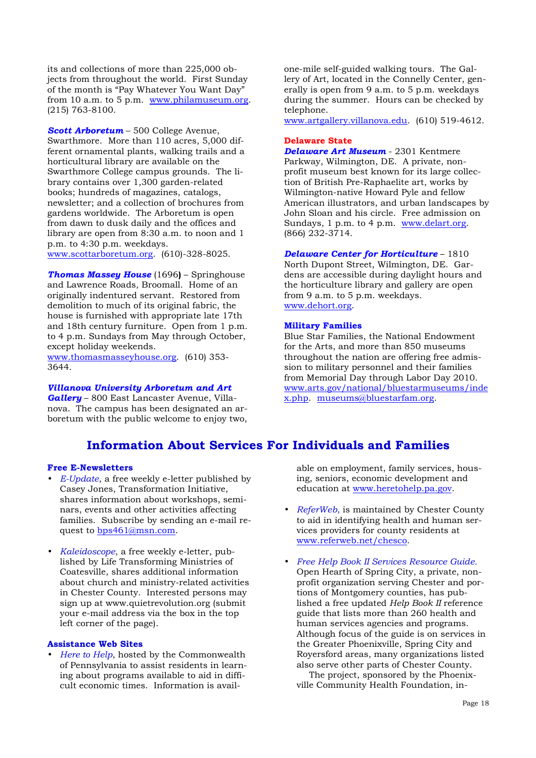its and collections of more than 225,000 objects from throughout the world. First Sunday of the month is "Pay Whatever You Want Day" from 10 a.m. to 5 p.m. www.philamuseum.org. (215) 763-8100.

*Scott Arboretum* – 500 College Avenue, Swarthmore. More than 110 acres, 5,000 different ornamental plants, walking trails and a horticultural library are available on the Swarthmore College campus grounds. The library contains over 1,300 garden-related books; hundreds of magazines, catalogs, newsletter; and a collection of brochures from gardens worldwide. The Arboretum is open from dawn to dusk daily and the offices and library are open from 8:30 a.m. to noon and 1 p.m. to 4:30 p.m. weekdays.

www.scottarboretum.org. (610)-328-8025.

*Thomas Massey House* (1696**)** – Springhouse and Lawrence Roads, Broomall. Home of an originally indentured servant. Restored from demolition to much of its original fabric, the house is furnished with appropriate late 17th and 18th century furniture. Open from 1 p.m. to 4 p.m. Sundays from May through October, except holiday weekends.

www.thomasmasseyhouse.org. (610) 353- 3644.

#### *Villanova University Arboretum and Art*

*Gallery* – 800 East Lancaster Avenue, Villanova. The campus has been designated an arboretum with the public welcome to enjoy two,

**Information About Services For Individuals and Families** 

# **Free E-Newsletters**

- *E-Update*, a free weekly e-letter published by Casey Jones, Transformation Initiative, shares information about workshops, seminars, events and other activities affecting families. Subscribe by sending an e-mail request to bps461@msn.com.
- *Kaleidoscope*, a free weekly e-letter, published by Life Transforming Ministries of Coatesville, shares additional information about church and ministry-related activities in Chester County. Interested persons may sign up at www.quietrevolution.org (submit your e-mail address via the box in the top left corner of the page).

#### **Assistance Web Sites**

• *Here to Help*, hosted by the Commonwealth of Pennsylvania to assist residents in learning about programs available to aid in difficult economic times. Information is avail-

one-mile self-guided walking tours. The Gallery of Art, located in the Connelly Center, generally is open from 9 a.m. to 5 p.m. weekdays during the summer. Hours can be checked by telephone.

www.artgallery.villanova.edu. (610) 519-4612.

#### **Delaware State**

*Delaware Art Museum* - 2301 Kentmere Parkway, Wilmington, DE. A private, nonprofit museum best known for its large collection of British Pre-Raphaelite art, works by Wilmington-native Howard Pyle and fellow American illustrators, and urban landscapes by John Sloan and his circle. Free admission on Sundays, 1 p.m. to 4 p.m. www.delart.org. (866) 232-3714.

#### *Delaware Center for Horticulture* – 1810

North Dupont Street, Wilmington, DE. Gardens are accessible during daylight hours and the horticulture library and gallery are open from 9 a.m. to 5 p.m. weekdays. www.dehort.org.

#### **Military Families**

Blue Star Families, the National Endowment for the Arts, and more than 850 museums throughout the nation are offering free admission to military personnel and their families from Memorial Day through Labor Day 2010. www.arts.gov/national/bluestarmuseums/inde x.php. museums@bluestarfam.org.

able on employment, family services, housing, seniors, economic development and education at www.heretohelp.pa.gov.

- *ReferWeb*, is maintained by Chester County to aid in identifying health and human services providers for county residents at www.referweb.net/chesco.
- *Free Help Book II Services Resource Guide.*  Open Hearth of Spring City, a private, nonprofit organization serving Chester and portions of Montgomery counties, has published a free updated *Help Book II* reference guide that lists more than 260 health and human services agencies and programs. Although focus of the guide is on services in the Greater Phoenixville, Spring City and Royersford areas, many organizations listed also serve other parts of Chester County.

 The project, sponsored by the Phoenixville Community Health Foundation, in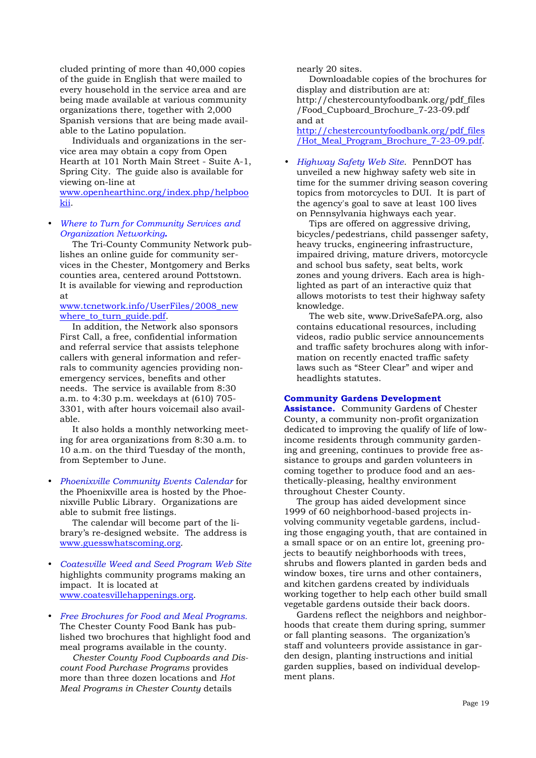cluded printing of more than 40,000 copies of the guide in English that were mailed to every household in the service area and are being made available at various community organizations there, together with 2,000 Spanish versions that are being made available to the Latino population.

 Individuals and organizations in the service area may obtain a copy from Open Hearth at 101 North Main Street - Suite A-1, Spring City. The guide also is available for viewing on-line at

www.openhearthinc.org/index.php/helpboo kii.

### • *Where to Turn for Community Services and Organization Networking.*

The Tri-County Community Network publishes an online guide for community services in the Chester, Montgomery and Berks counties area, centered around Pottstown. It is available for viewing and reproduction at

#### www.tcnetwork.info/UserFiles/2008\_new where\_to\_turn\_guide.pdf.

 In addition, the Network also sponsors First Call, a free, confidential information and referral service that assists telephone callers with general information and referrals to community agencies providing nonemergency services, benefits and other needs. The service is available from 8:30 a.m. to 4:30 p.m. weekdays at (610) 705- 3301, with after hours voicemail also available.

 It also holds a monthly networking meeting for area organizations from 8:30 a.m. to 10 a.m. on the third Tuesday of the month, from September to June.

#### • *Phoenixville Community Events Calendar* for the Phoenixville area is hosted by the Phoenixville Public Library. Organizations are able to submit free listings.

 The calendar will become part of the library's re-designed website. The address is www.guesswhatscoming.org.

- *Coatesville Weed and Seed Program Web Site*  highlights community programs making an impact. It is located at www.coatesvillehappenings.org.
- *Free Brochures for Food and Meal Programs.*  The Chester County Food Bank has published two brochures that highlight food and meal programs available in the county.

*Chester County Food Cupboards and Discount Food Purchase Programs* provides more than three dozen locations and *Hot Meal Programs in Chester County* details

nearly 20 sites.

 Downloadable copies of the brochures for display and distribution are at: http://chestercountyfoodbank.org/pdf\_files /Food\_Cupboard\_Brochure\_7-23-09.pdf and at

http://chestercountyfoodbank.org/pdf\_files /Hot Meal Program Brochure 7-23-09.pdf.

• *Highway Safety Web Site*. PennDOT has unveiled a new highway safety web site in time for the summer driving season covering topics from motorcycles to DUI. It is part of the agency's goal to save at least 100 lives on Pennsylvania highways each year.

 Tips are offered on aggressive driving, bicycles/pedestrians, child passenger safety, heavy trucks, engineering infrastructure, impaired driving, mature drivers, motorcycle and school bus safety, seat belts, work zones and young drivers. Each area is highlighted as part of an interactive quiz that allows motorists to test their highway safety knowledge.

 The web site, www.DriveSafePA.org, also contains educational resources, including videos, radio public service announcements and traffic safety brochures along with information on recently enacted traffic safety laws such as "Steer Clear" and wiper and headlights statutes.

#### **Community Gardens Development**

**Assistance.** Community Gardens of Chester County, a community non-profit organization dedicated to improving the qualify of life of lowincome residents through community gardening and greening, continues to provide free assistance to groups and garden volunteers in coming together to produce food and an aesthetically-pleasing, healthy environment throughout Chester County.

 The group has aided development since 1999 of 60 neighborhood-based projects involving community vegetable gardens, including those engaging youth, that are contained in a small space or on an entire lot, greening projects to beautify neighborhoods with trees, shrubs and flowers planted in garden beds and window boxes, tire urns and other containers, and kitchen gardens created by individuals working together to help each other build small vegetable gardens outside their back doors.

 Gardens reflect the neighbors and neighborhoods that create them during spring, summer or fall planting seasons. The organization's staff and volunteers provide assistance in garden design, planting instructions and initial garden supplies, based on individual development plans.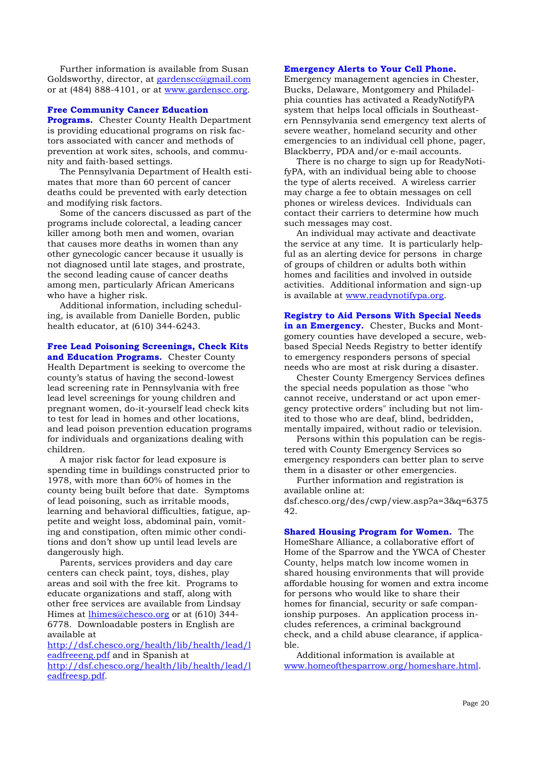Further information is available from Susan Goldsworthy, director, at gardenscc@gmail.com or at (484) 888-4101, or at www.gardenscc.org.

#### **Free Community Cancer Education**

**Programs.** Chester County Health Department is providing educational programs on risk factors associated with cancer and methods of prevention at work sites, schools, and community and faith-based settings.

 The Pennsylvania Department of Health estimates that more than 60 percent of cancer deaths could be prevented with early detection and modifying risk factors.

 Some of the cancers discussed as part of the programs include colorectal, a leading cancer killer among both men and women, ovarian that causes more deaths in women than any other gynecologic cancer because it usually is not diagnosed until late stages, and prostrate, the second leading cause of cancer deaths among men, particularly African Americans who have a higher risk.

 Additional information, including scheduling, is available from Danielle Borden, public health educator, at (610) 344-6243.

#### **Free Lead Poisoning Screenings, Check Kits and Education Programs.** Chester County

Health Department is seeking to overcome the county's status of having the second-lowest lead screening rate in Pennsylvania with free lead level screenings for young children and pregnant women, do-it-yourself lead check kits to test for lead in homes and other locations, and lead poison prevention education programs for individuals and organizations dealing with children.

 A major risk factor for lead exposure is spending time in buildings constructed prior to 1978, with more than 60% of homes in the county being built before that date. Symptoms of lead poisoning, such as irritable moods, learning and behavioral difficulties, fatigue, appetite and weight loss, abdominal pain, vomiting and constipation, often mimic other conditions and don't show up until lead levels are dangerously high.

 Parents, services providers and day care centers can check paint, toys, dishes, play areas and soil with the free kit. Programs to educate organizations and staff, along with other free services are available from Lindsay Himes at lhimes@chesco.org or at (610) 344-6778. Downloadable posters in English are available at

http://dsf.chesco.org/health/lib/health/lead/l eadfreeeng.pdf and in Spanish at http://dsf.chesco.org/health/lib/health/lead/l eadfreesp.pdf.

# **Emergency Alerts to Your Cell Phone.**

Emergency management agencies in Chester, Bucks, Delaware, Montgomery and Philadelphia counties has activated a ReadyNotifyPA system that helps local officials in Southeastern Pennsylvania send emergency text alerts of severe weather, homeland security and other emergencies to an individual cell phone, pager, Blackberry, PDA and/or e-mail accounts.

 There is no charge to sign up for ReadyNotifyPA, with an individual being able to choose the type of alerts received. A wireless carrier may charge a fee to obtain messages on cell phones or wireless devices. Individuals can contact their carriers to determine how much such messages may cost.

 An individual may activate and deactivate the service at any time. It is particularly helpful as an alerting device for persons in charge of groups of children or adults both within homes and facilities and involved in outside activities. Additional information and sign-up is available at www.readynotifypa.org.

**Registry to Aid Persons With Special Needs in an Emergency.** Chester, Bucks and Montgomery counties have developed a secure, webbased Special Needs Registry to better identify to emergency responders persons of special needs who are most at risk during a disaster.

 Chester County Emergency Services defines the special needs population as those "who cannot receive, understand or act upon emergency protective orders" including but not limited to those who are deaf, blind, bedridden, mentally impaired, without radio or television.

 Persons within this population can be registered with County Emergency Services so emergency responders can better plan to serve them in a disaster or other emergencies.

 Further information and registration is available online at: dsf.chesco.org/des/cwp/view.asp?a=3&q=6375 42.

**Shared Housing Program for Women.** The HomeShare Alliance, a collaborative effort of Home of the Sparrow and the YWCA of Chester County, helps match low income women in shared housing environments that will provide affordable housing for women and extra income for persons who would like to share their homes for financial, security or safe companionship purposes. An application process includes references, a criminal background check, and a child abuse clearance, if applicable.

 Additional information is available at www.homeofthesparrow.org/homeshare.html.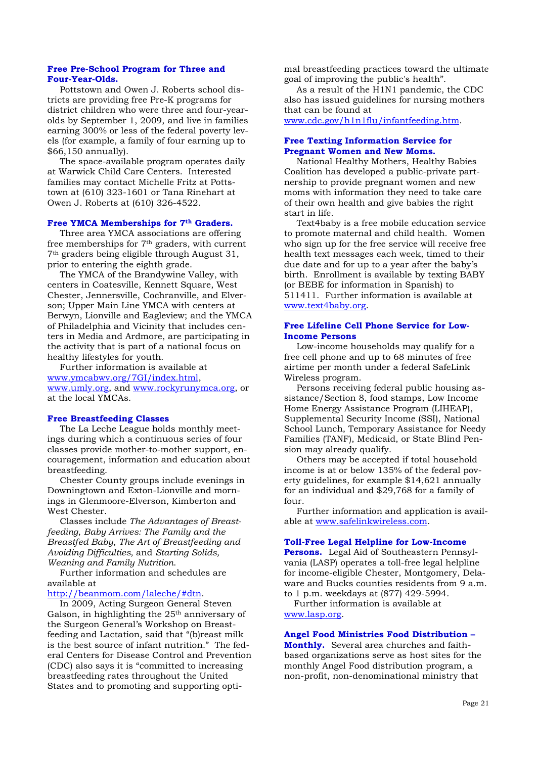#### **Free Pre-School Program for Three and Four-Year-Olds.**

Pottstown and Owen J. Roberts school districts are providing free Pre-K programs for district children who were three and four-yearolds by September 1, 2009, and live in families earning 300% or less of the federal poverty levels (for example, a family of four earning up to \$66,150 annually).

 The space-available program operates daily at Warwick Child Care Centers. Interested families may contact Michelle Fritz at Pottstown at (610) 323-1601 or Tana Rinehart at Owen J. Roberts at (610) 326-4522.

#### **Free YMCA Memberships for 7th Graders.**

Three area YMCA associations are offering free memberships for 7th graders, with current 7th graders being eligible through August 31, prior to entering the eighth grade.

 The YMCA of the Brandywine Valley, with centers in Coatesville, Kennett Square, West Chester, Jennersville, Cochranville, and Elverson; Upper Main Line YMCA with centers at Berwyn, Lionville and Eagleview; and the YMCA of Philadelphia and Vicinity that includes centers in Media and Ardmore, are participating in the activity that is part of a national focus on healthy lifestyles for youth.

 Further information is available at www.ymcabwv.org/7GI/index.html, www.umly.org, and www.rockyrunymca.org, or at the local YMCAs.

#### **Free Breastfeeding Classes**

 The La Leche League holds monthly meetings during which a continuous series of four classes provide mother-to-mother support, encouragement, information and education about breastfeeding.

 Chester County groups include evenings in Downingtown and Exton-Lionville and mornings in Glenmoore-Elverson, Kimberton and West Chester.

 Classes include *The Advantages of Breastfeeding*, *Baby Arrives: The Family and the Breastfed Baby*, *The Art of Breastfeeding and Avoiding Difficulties,* and *Starting Solids, Weaning and Family Nutrition*.

 Further information and schedules are available at

#### http://beanmom.com/laleche/#dtn.

 In 2009, Acting Surgeon General Steven Galson, in highlighting the 25<sup>th</sup> anniversary of the Surgeon General's Workshop on Breastfeeding and Lactation, said that "(b)reast milk is the best source of infant nutrition." The federal Centers for Disease Control and Prevention (CDC) also says it is "committed to increasing breastfeeding rates throughout the United States and to promoting and supporting opti-

mal breastfeeding practices toward the ultimate goal of improving the public's health".

 As a result of the H1N1 pandemic, the CDC also has issued guidelines for nursing mothers that can be found at

www.cdc.gov/h1n1flu/infantfeeding.htm.

#### **Free Texting Information Service for Pregnant Women and New Moms.**

 National Healthy Mothers, Healthy Babies Coalition has developed a public-private partnership to provide pregnant women and new moms with information they need to take care of their own health and give babies the right start in life.

 Text4baby is a free mobile education service to promote maternal and child health. Women who sign up for the free service will receive free health text messages each week, timed to their due date and for up to a year after the baby's birth. Enrollment is available by texting BABY (or BEBE for information in Spanish) to 511411. Further information is available at www.text4baby.org.

#### **Free Lifeline Cell Phone Service for Low-Income Persons**

 Low-income households may qualify for a free cell phone and up to 68 minutes of free airtime per month under a federal SafeLink Wireless program.

 Persons receiving federal public housing assistance/Section 8, food stamps, Low Income Home Energy Assistance Program (LIHEAP), Supplemental Security Income (SSI), National School Lunch, Temporary Assistance for Needy Families (TANF), Medicaid, or State Blind Pension may already qualify.

 Others may be accepted if total household income is at or below 135% of the federal poverty guidelines, for example \$14,621 annually for an individual and \$29,768 for a family of four.

 Further information and application is available at www.safelinkwireless.com.

#### **Toll-Free Legal Helpline for Low-Income**

**Persons.** Legal Aid of Southeastern Pennsylvania (LASP) operates a toll-free legal helpline for income-eligible Chester, Montgomery, Delaware and Bucks counties residents from 9 a.m. to 1 p.m. weekdays at (877) 429-5994.

 Further information is available at www.lasp.org.

#### **Angel Food Ministries Food Distribution –**

**Monthly.** Several area churches and faithbased organizations serve as host sites for the monthly Angel Food distribution program, a non-profit, non-denominational ministry that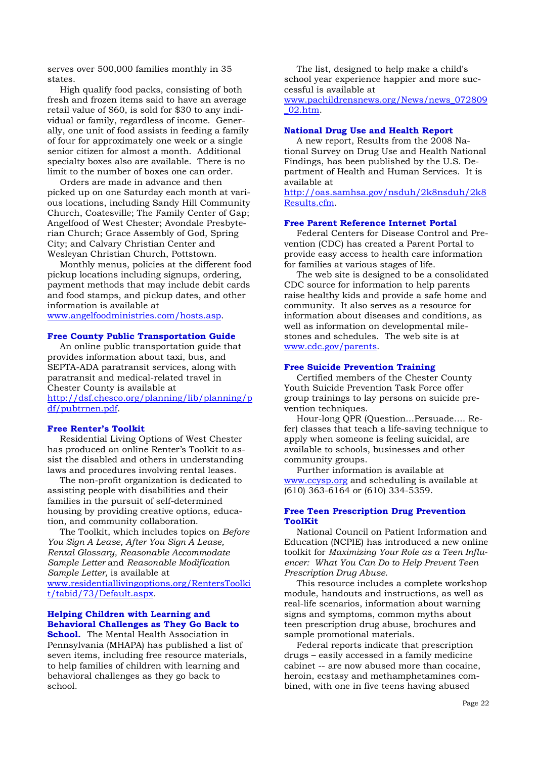serves over 500,000 families monthly in 35 states.

 High qualify food packs, consisting of both fresh and frozen items said to have an average retail value of \$60, is sold for \$30 to any individual or family, regardless of income. Generally, one unit of food assists in feeding a family of four for approximately one week or a single senior citizen for almost a month. Additional specialty boxes also are available. There is no limit to the number of boxes one can order.

 Orders are made in advance and then picked up on one Saturday each month at various locations, including Sandy Hill Community Church, Coatesville; The Family Center of Gap; Angelfood of West Chester; Avondale Presbyterian Church; Grace Assembly of God, Spring City; and Calvary Christian Center and Wesleyan Christian Church, Pottstown.

 Monthly menus, policies at the different food pickup locations including signups, ordering, payment methods that may include debit cards and food stamps, and pickup dates, and other information is available at www.angelfoodministries.com/hosts.asp.

**Free County Public Transportation Guide**

 An online public transportation guide that provides information about taxi, bus, and SEPTA-ADA paratransit services, along with paratransit and medical-related travel in Chester County is available at http://dsf.chesco.org/planning/lib/planning/p df/pubtrnen.pdf.

#### **Free Renter's Toolkit**

Residential Living Options of West Chester has produced an online Renter's Toolkit to assist the disabled and others in understanding laws and procedures involving rental leases.

 The non-profit organization is dedicated to assisting people with disabilities and their families in the pursuit of self-determined housing by providing creative options, education, and community collaboration.

 The Toolkit, which includes topics on *Before You Sign A Lease, After You Sign A Lease, Rental Glossary, Reasonable Accommodate Sample Letter* and *Reasonable Modification Sample Letter,* is available at www.residentiallivingoptions.org/RentersToolki t/tabid/73/Default.aspx.

# **Helping Children with Learning and Behavioral Challenges as They Go Back to**

**School.** The Mental Health Association in Pennsylvania (MHAPA) has published a list of seven items, including free resource materials, to help families of children with learning and behavioral challenges as they go back to school.

 The list, designed to help make a child's school year experience happier and more successful is available at

www.pachildrensnews.org/News/news\_072809 \_02.htm.

#### **National Drug Use and Health Report**

A new report, Results from the 2008 National Survey on Drug Use and Health National Findings, has been published by the U.S. Department of Health and Human Services. It is available at

http://oas.samhsa.gov/nsduh/2k8nsduh/2k8 Results.cfm.

#### **Free Parent Reference Internet Portal**

Federal Centers for Disease Control and Prevention (CDC) has created a Parent Portal to provide easy access to health care information for families at various stages of life.

 The web site is designed to be a consolidated CDC source for information to help parents raise healthy kids and provide a safe home and community. It also serves as a resource for information about diseases and conditions, as well as information on developmental milestones and schedules. The web site is at www.cdc.gov/parents.

#### **Free Suicide Prevention Training**

Certified members of the Chester County Youth Suicide Prevention Task Force offer group trainings to lay persons on suicide prevention techniques.

 Hour-long QPR (Question…Persuade…. Refer) classes that teach a life-saving technique to apply when someone is feeling suicidal, are available to schools, businesses and other community groups.

 Further information is available at www.ccysp.org and scheduling is available at (610) 363-6164 or (610) 334-5359.

#### **Free Teen Prescription Drug Prevention ToolKit**

 National Council on Patient Information and Education (NCPIE) has introduced a new online toolkit for *Maximizing Your Role as a Teen Influencer: What You Can Do to Help Prevent Teen Prescription Drug Abuse*.

 This resource includes a complete workshop module, handouts and instructions, as well as real-life scenarios, information about warning signs and symptoms, common myths about teen prescription drug abuse, brochures and sample promotional materials.

 Federal reports indicate that prescription drugs – easily accessed in a family medicine cabinet -- are now abused more than cocaine, heroin, ecstasy and methamphetamines combined, with one in five teens having abused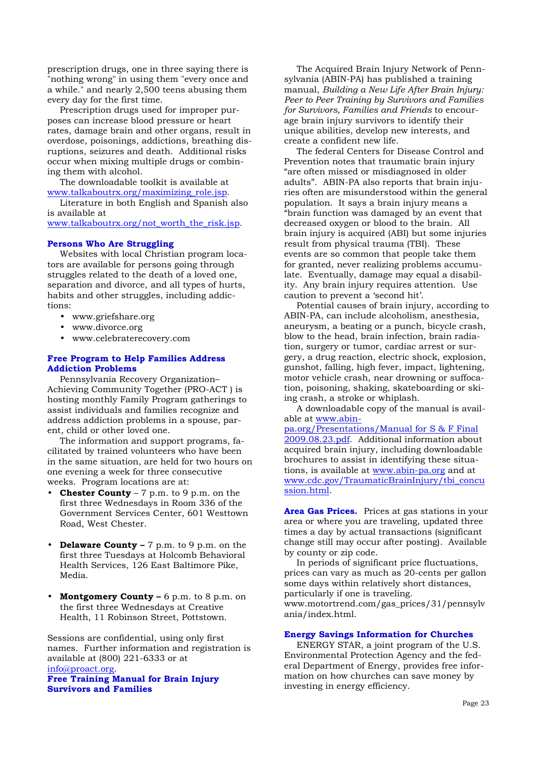prescription drugs, one in three saying there is "nothing wrong" in using them "every once and a while." and nearly 2,500 teens abusing them every day for the first time.

 Prescription drugs used for improper purposes can increase blood pressure or heart rates, damage brain and other organs, result in overdose, poisonings, addictions, breathing disruptions, seizures and death. Additional risks occur when mixing multiple drugs or combining them with alcohol.

 The downloadable toolkit is available at www.talkaboutrx.org/maximizing\_role.jsp.

 Literature in both English and Spanish also is available at

www.talkaboutrx.org/not\_worth\_the\_risk.jsp.

#### **Persons Who Are Struggling**

 Websites with local Christian program locators are available for persons going through struggles related to the death of a loved one, separation and divorce, and all types of hurts, habits and other struggles, including addictions:

- www.griefshare.org
- www.divorce.org
- www.celebraterecovery.com

# **Free Program to Help Families Address Addiction Problems**

 Pennsylvania Recovery Organization– Achieving Community Together (PRO-ACT ) is hosting monthly Family Program gatherings to assist individuals and families recognize and address addiction problems in a spouse, parent, child or other loved one.

 The information and support programs, facilitated by trained volunteers who have been in the same situation, are held for two hours on one evening a week for three consecutive weeks. Program locations are at:

- **Chester County** 7 p.m. to 9 p.m. on the first three Wednesdays in Room 336 of the Government Services Center, 601 Westtown Road, West Chester.
- **Delaware County –** 7 p.m. to 9 p.m. on the first three Tuesdays at Holcomb Behavioral Health Services, 126 East Baltimore Pike, Media.
- Montgomery County 6 p.m. to 8 p.m. on the first three Wednesdays at Creative Health, 11 Robinson Street, Pottstown.

Sessions are confidential, using only first names. Further information and registration is available at (800) 221-6333 or at info@proact.org.

**Free Training Manual for Brain Injury Survivors and Families** 

The Acquired Brain Injury Network of Pennsylvania (ABIN-PA) has published a training manual, *Building a New Life After Brain Injury: Peer to Peer Training by Survivors and Families for Survivors, Families and Friends* to encourage brain injury survivors to identify their unique abilities, develop new interests, and create a confident new life.

 The federal Centers for Disease Control and Prevention notes that traumatic brain injury "are often missed or misdiagnosed in older adults". ABIN-PA also reports that brain injuries often are misunderstood within the general population. It says a brain injury means a "brain function was damaged by an event that decreased oxygen or blood to the brain. All brain injury is acquired (ABI) but some injuries result from physical trauma (TBI). These events are so common that people take them for granted, never realizing problems accumulate. Eventually, damage may equal a disability. Any brain injury requires attention. Use caution to prevent a 'second hit'.

 Potential causes of brain injury, according to ABIN-PA, can include alcoholism, anesthesia, aneurysm, a beating or a punch, bicycle crash, blow to the head, brain infection, brain radiation, surgery or tumor, cardiac arrest or surgery, a drug reaction, electric shock, explosion, gunshot, falling, high fever, impact, lightening, motor vehicle crash, near drowning or suffocation, poisoning, shaking, skateboarding or skiing crash, a stroke or whiplash.

 A downloadable copy of the manual is available at www.abin-

pa.org/Presentations/Manual for S & F Final 2009.08.23.pdf. Additional information about acquired brain injury, including downloadable brochures to assist in identifying these situations, is available at www.abin-pa.org and at www.cdc.gov/TraumaticBrainInjury/tbi\_concu ssion.html.

**Area Gas Prices.** Prices at gas stations in your area or where you are traveling, updated three times a day by actual transactions (significant change still may occur after posting). Available by county or zip code.

 In periods of significant price fluctuations, prices can vary as much as 20-cents per gallon some days within relatively short distances, particularly if one is traveling. www.motortrend.com/gas\_prices/31/pennsylv ania/index.html.

# **Energy Savings Information for Churches**

 ENERGY STAR, a joint program of the U.S. Environmental Protection Agency and the federal Department of Energy, provides free information on how churches can save money by investing in energy efficiency.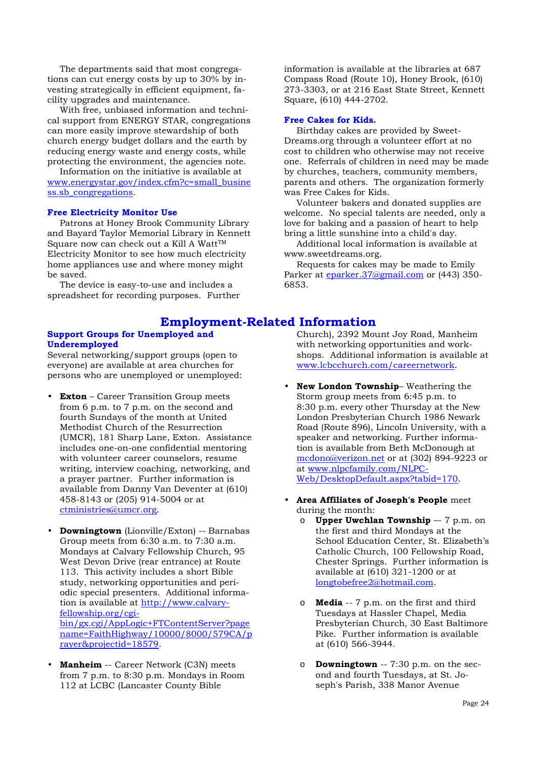The departments said that most congregations can cut energy costs by up to 30% by investing strategically in efficient equipment, facility upgrades and maintenance.

 With free, unbiased information and technical support from ENERGY STAR, congregations can more easily improve stewardship of both church energy budget dollars and the earth by reducing energy waste and energy costs, while protecting the environment, the agencies note.

 Information on the initiative is available at www.energystar.gov/index.cfm?c=small\_busine ss.sb\_congregations.

#### **Free Electricity Monitor Use**

 Patrons at Honey Brook Community Library and Bayard Taylor Memorial Library in Kennett Square now can check out a Kill A Watt<sup>™</sup> Electricity Monitor to see how much electricity home appliances use and where money might be saved.

 The device is easy-to-use and includes a spreadsheet for recording purposes. Further information is available at the libraries at 687 Compass Road (Route 10), Honey Brook, (610) 273-3303, or at 216 East State Street, Kennett Square, (610) 444-2702.

#### **Free Cakes for Kids.**

 Birthday cakes are provided by Sweet-Dreams.org through a volunteer effort at no cost to children who otherwise may not receive one. Referrals of children in need may be made by churches, teachers, community members, parents and others. The organization formerly was Free Cakes for Kids.

 Volunteer bakers and donated supplies are welcome. No special talents are needed, only a love for baking and a passion of heart to help bring a little sunshine into a child's day.

 Additional local information is available at www.sweetdreams.org.

 Requests for cakes may be made to Emily Parker at eparker.37@gmail.com or (443) 350-6853.

# **Employment-Related Information**

#### **Support Groups for Unemployed and Underemployed**

Several networking/support groups (open to everyone) are available at area churches for persons who are unemployed or unemployed:

- **Exton** Career Transition Group meets from 6 p.m. to 7 p.m. on the second and fourth Sundays of the month at United Methodist Church of the Resurrection (UMCR), 181 Sharp Lane, Exton. Assistance includes one-on-one confidential mentoring with volunteer career counselors, resume writing, interview coaching, networking, and a prayer partner. Further information is available from Danny Van Deventer at (610) 458-8143 or (205) 914-5004 or at ctministries@umcr.org.
- **Downingtown** (Lionville/Exton) -- Barnabas Group meets from 6:30 a.m. to 7:30 a.m. Mondays at Calvary Fellowship Church, 95 West Devon Drive (rear entrance) at Route 113. This activity includes a short Bible study, networking opportunities and periodic special presenters. Additional information is available at http://www.calvaryfellowship.org/cgibin/gx.cgi/AppLogic+FTContentServer?page name=FaithHighway/10000/8000/579CA/p rayer&projectid=18579.
- **Manheim** -- Career Network (C3N) meets from 7 p.m. to 8:30 p.m. Mondays in Room 112 at LCBC (Lancaster County Bible

Church), 2392 Mount Joy Road, Manheim with networking opportunities and workshops. Additional information is available at www.lcbcchurch.com/careernetwork.

- **New London Township** Weathering the Storm group meets from 6:45 p.m. to 8:30 p.m. every other Thursday at the New London Presbyterian Church 1986 Newark Road (Route 896), Lincoln University, with a speaker and networking. Further information is available from Beth McDonough at mcdono@verizon.net or at (302) 894-9223 or at www.nlpcfamily.com/NLPC-Web/DesktopDefault.aspx?tabid=170.
- **Area Affiliates of Joseph's People** meet during the month:
	- o **Upper Uwchlan Township** –- 7 p.m. on the first and third Mondays at the School Education Center, St. Elizabeth's Catholic Church, 100 Fellowship Road, Chester Springs. Further information is available at (610) 321-1200 or at longtobefree2@hotmail.com.
	- o **Media** -- 7 p.m. on the first and third Tuesdays at Hassler Chapel, Media Presbyterian Church, 30 East Baltimore Pike. Further information is available at (610) 566-3944.
	- o **Downingtown** -- 7:30 p.m. on the second and fourth Tuesdays, at St. Joseph's Parish, 338 Manor Avenue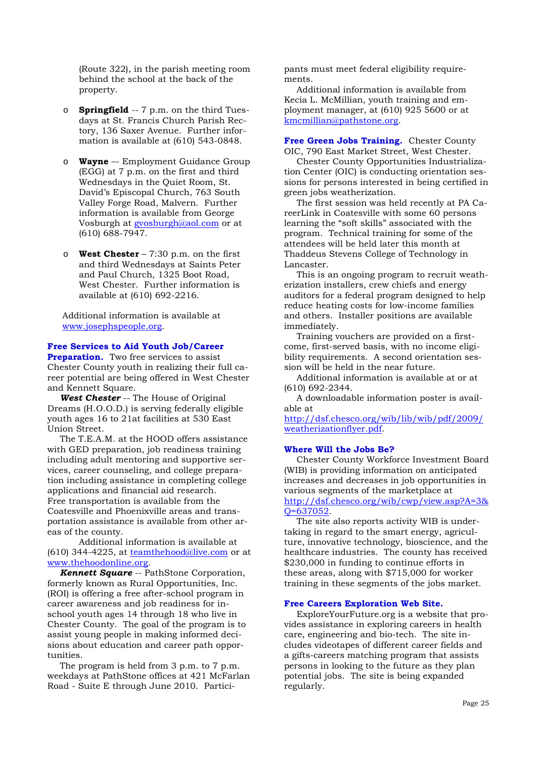(Route 322), in the parish meeting room behind the school at the back of the property.

- o **Springfield** -- 7 p.m. on the third Tuesdays at St. Francis Church Parish Rectory, 136 Saxer Avenue. Further information is available at (610) 543-0848.
- o **Wayne** –- Employment Guidance Group (EGG) at 7 p.m. on the first and third Wednesdays in the Quiet Room, St. David's Episcopal Church, 763 South Valley Forge Road, Malvern. Further information is available from George Vosburgh at gvosburgh@aol.com or at (610) 688-7947.
- o **West Chester** 7:30 p.m. on the first and third Wednesdays at Saints Peter and Paul Church, 1325 Boot Road, West Chester. Further information is available at (610) 692-2216.

Additional information is available at www.josephspeople.org.

#### **Free Services to Aid Youth Job/Career**

**Preparation.** Two free services to assist Chester County youth in realizing their full career potential are being offered in West Chester and Kennett Square.

*West Chester* -- The House of Original Dreams (H.O.O.D.) is serving federally eligible youth ages 16 to 21at facilities at 530 East Union Street.

 The T.E.A.M. at the HOOD offers assistance with GED preparation, job readiness training including adult mentoring and supportive services, career counseling, and college preparation including assistance in completing college applications and financial aid research. Free transportation is available from the Coatesville and Phoenixville areas and transportation assistance is available from other areas of the county.

 Additional information is available at (610) 344-4225, at teamthehood@live.com or at www.thehoodonline.org.

*Kennett Square* -- PathStone Corporation, formerly known as Rural Opportunities, Inc. (ROI) is offering a free after-school program in career awareness and job readiness for inschool youth ages 14 through 18 who live in Chester County. The goal of the program is to assist young people in making informed decisions about education and career path opportunities.

 The program is held from 3 p.m. to 7 p.m. weekdays at PathStone offices at 421 McFarlan Road - Suite E through June 2010. Participants must meet federal eligibility requirements.

 Additional information is available from Kecia L. McMillian, youth training and employment manager, at (610) 925 5600 or at kmcmillian@pathstone.org.

**Free Green Jobs Training.** Chester County OIC, 790 East Market Street, West Chester.

 Chester County Opportunities Industrialization Center (OIC) is conducting orientation sessions for persons interested in being certified in green jobs weatherization.

 The first session was held recently at PA CareerLink in Coatesville with some 60 persons learning the "soft skills" associated with the program. Technical training for some of the attendees will be held later this month at Thaddeus Stevens College of Technology in Lancaster.

 This is an ongoing program to recruit weatherization installers, crew chiefs and energy auditors for a federal program designed to help reduce heating costs for low-income families and others. Installer positions are available immediately.

 Training vouchers are provided on a firstcome, first-served basis, with no income eligibility requirements. A second orientation session will be held in the near future.

 Additional information is available at or at (610) 692-2344.

 A downloadable information poster is available at

http://dsf.chesco.org/wib/lib/wib/pdf/2009/ weatherizationflyer.pdf.

#### **Where Will the Jobs Be?**

Chester County Workforce Investment Board (WIB) is providing information on anticipated increases and decreases in job opportunities in various segments of the marketplace at http://dsf.chesco.org/wib/cwp/view.asp?A=3&

# Q=637052.

 The site also reports activity WIB is undertaking in regard to the smart energy, agriculture, innovative technology, bioscience, and the healthcare industries. The county has received \$230,000 in funding to continue efforts in these areas, along with \$715,000 for worker training in these segments of the jobs market.

#### **Free Careers Exploration Web Site.**

 ExploreYourFuture.org is a website that provides assistance in exploring careers in health care, engineering and bio-tech. The site includes videotapes of different career fields and a gifts-careers matching program that assists persons in looking to the future as they plan potential jobs. The site is being expanded regularly.